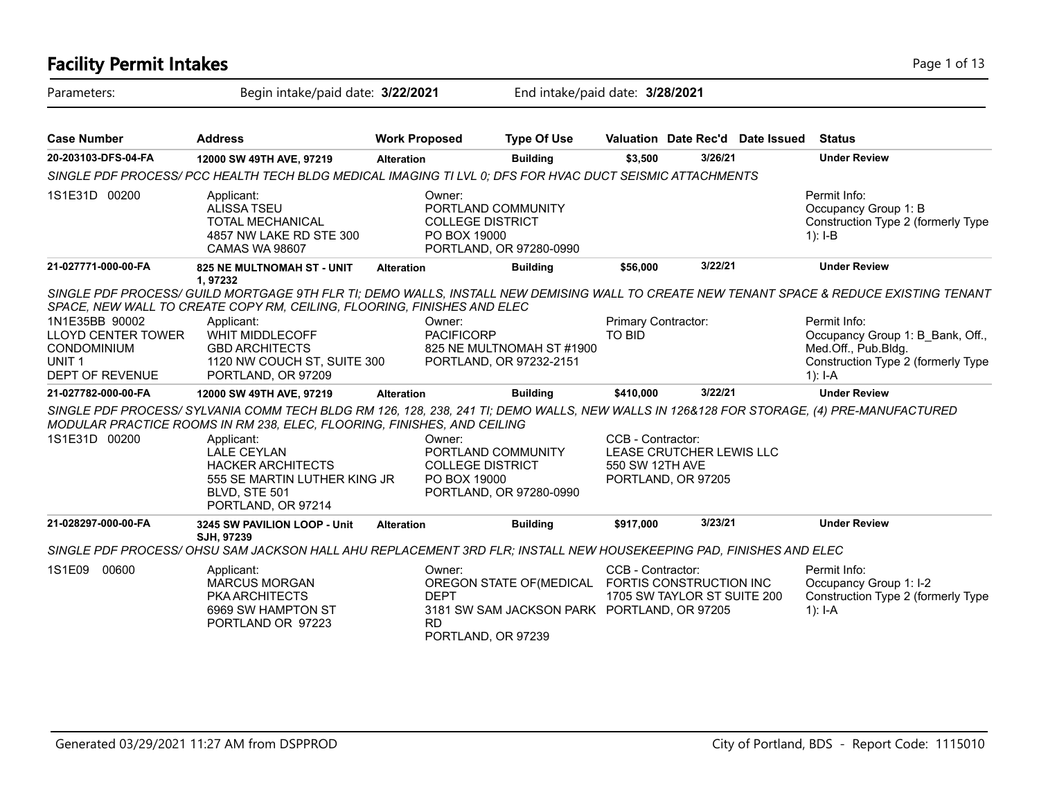| <b>Facility Permit Intakes</b>                                                                                   |                                                                                                                                                                                                                    |                      |                                                                                                                                     |                                      |                                                        |                                         | Page 1 of 13                                                                                                                             |
|------------------------------------------------------------------------------------------------------------------|--------------------------------------------------------------------------------------------------------------------------------------------------------------------------------------------------------------------|----------------------|-------------------------------------------------------------------------------------------------------------------------------------|--------------------------------------|--------------------------------------------------------|-----------------------------------------|------------------------------------------------------------------------------------------------------------------------------------------|
| Parameters:                                                                                                      | Begin intake/paid date: 3/22/2021                                                                                                                                                                                  |                      |                                                                                                                                     | End intake/paid date: 3/28/2021      |                                                        |                                         |                                                                                                                                          |
| <b>Case Number</b>                                                                                               | <b>Address</b>                                                                                                                                                                                                     | <b>Work Proposed</b> | <b>Type Of Use</b>                                                                                                                  |                                      |                                                        | Valuation Date Rec'd Date Issued Status |                                                                                                                                          |
| 20-203103-DFS-04-FA                                                                                              | 12000 SW 49TH AVE, 97219                                                                                                                                                                                           | <b>Alteration</b>    | <b>Building</b>                                                                                                                     | \$3,500                              | 3/26/21                                                |                                         | <b>Under Review</b>                                                                                                                      |
|                                                                                                                  | SINGLE PDF PROCESS/ PCC HEALTH TECH BLDG MEDICAL IMAGING TI LVL 0; DFS FOR HVAC DUCT SEISMIC ATTACHMENTS                                                                                                           |                      |                                                                                                                                     |                                      |                                                        |                                         |                                                                                                                                          |
| 1S1E31D 00200                                                                                                    | Applicant:<br><b>ALISSA TSEU</b><br><b>TOTAL MECHANICAL</b><br>4857 NW LAKE RD STE 300<br><b>CAMAS WA 98607</b>                                                                                                    |                      | Owner:<br>PORTLAND COMMUNITY<br><b>COLLEGE DISTRICT</b><br>PO BOX 19000<br>PORTLAND, OR 97280-0990                                  |                                      |                                                        |                                         | Permit Info:<br>Occupancy Group 1: B<br>Construction Type 2 (formerly Type<br>$1$ : I-B                                                  |
| 21-027771-000-00-FA                                                                                              | 825 NE MULTNOMAH ST - UNIT                                                                                                                                                                                         | <b>Alteration</b>    | <b>Building</b>                                                                                                                     | \$56,000                             | 3/22/21                                                |                                         | <b>Under Review</b>                                                                                                                      |
|                                                                                                                  | 1,97232<br>SPACE, NEW WALL TO CREATE COPY RM, CEILING, FLOORING, FINISHES AND ELEC                                                                                                                                 |                      |                                                                                                                                     |                                      |                                                        |                                         | SINGLE PDF PROCESS/ GUILD MORTGAGE 9TH FLR TI; DEMO WALLS, INSTALL NEW DEMISING WALL TO CREATE NEW TENANT SPACE & REDUCE EXISTING TENANT |
| 1N1E35BB 90002<br><b>LLOYD CENTER TOWER</b><br><b>CONDOMINIUM</b><br>UNIT <sub>1</sub><br><b>DEPT OF REVENUE</b> | Applicant:<br><b>WHIT MIDDLECOFF</b><br><b>GBD ARCHITECTS</b><br>1120 NW COUCH ST, SUITE 300<br>PORTLAND, OR 97209                                                                                                 |                      | Owner:<br><b>PACIFICORP</b><br>825 NE MULTNOMAH ST #1900<br>PORTLAND, OR 97232-2151                                                 | Primary Contractor:<br><b>TO BID</b> |                                                        |                                         | Permit Info:<br>Occupancy Group 1: B Bank, Off.,<br>Med.Off., Pub.Bldg.<br>Construction Type 2 (formerly Type<br>$1$ : I-A               |
| 21-027782-000-00-FA                                                                                              | 12000 SW 49TH AVE, 97219                                                                                                                                                                                           | <b>Alteration</b>    | <b>Building</b>                                                                                                                     | \$410.000                            | 3/22/21                                                |                                         | <b>Under Review</b>                                                                                                                      |
|                                                                                                                  | SINGLE PDF PROCESS/SYLVANIA COMM TECH BLDG RM 126, 128, 238, 241 TI; DEMO WALLS, NEW WALLS IN 126&128 FOR STORAGE, (4) PRE-MANUFACTURED<br>MODULAR PRACTICE ROOMS IN RM 238, ELEC, FLOORING, FINISHES, AND CEILING |                      |                                                                                                                                     |                                      |                                                        |                                         |                                                                                                                                          |
| 1S1E31D 00200                                                                                                    | Applicant:<br><b>LALE CEYLAN</b><br><b>HACKER ARCHITECTS</b><br>555 SE MARTIN LUTHER KING JR<br>BLVD, STE 501<br>PORTLAND, OR 97214                                                                                |                      | Owner:<br>PORTLAND COMMUNITY<br><b>COLLEGE DISTRICT</b><br>PO BOX 19000<br>PORTLAND, OR 97280-0990                                  | CCB - Contractor:<br>550 SW 12TH AVE | LEASE CRUTCHER LEWIS LLC<br>PORTLAND, OR 97205         |                                         |                                                                                                                                          |
| 21-028297-000-00-FA                                                                                              | 3245 SW PAVILION LOOP - Unit<br>SJH, 97239                                                                                                                                                                         | <b>Alteration</b>    | <b>Building</b>                                                                                                                     | \$917,000                            | 3/23/21                                                |                                         | <b>Under Review</b>                                                                                                                      |
|                                                                                                                  | SINGLE PDF PROCESS/OHSU SAM JACKSON HALL AHU REPLACEMENT 3RD FLR; INSTALL NEW HOUSEKEEPING PAD, FINISHES AND ELEC                                                                                                  |                      |                                                                                                                                     |                                      |                                                        |                                         |                                                                                                                                          |
| 1S1E09 00600                                                                                                     | Applicant:<br><b>MARCUS MORGAN</b><br><b>PKA ARCHITECTS</b><br>6969 SW HAMPTON ST<br>PORTLAND OR 97223                                                                                                             |                      | Owner:<br>OREGON STATE OF (MEDICAL<br><b>DEPT</b><br>3181 SW SAM JACKSON PARK PORTLAND, OR 97205<br><b>RD</b><br>PORTLAND, OR 97239 | CCB - Contractor:                    | FORTIS CONSTRUCTION INC<br>1705 SW TAYLOR ST SUITE 200 |                                         | Permit Info:<br>Occupancy Group 1: I-2<br>Construction Type 2 (formerly Type<br>1): I-A                                                  |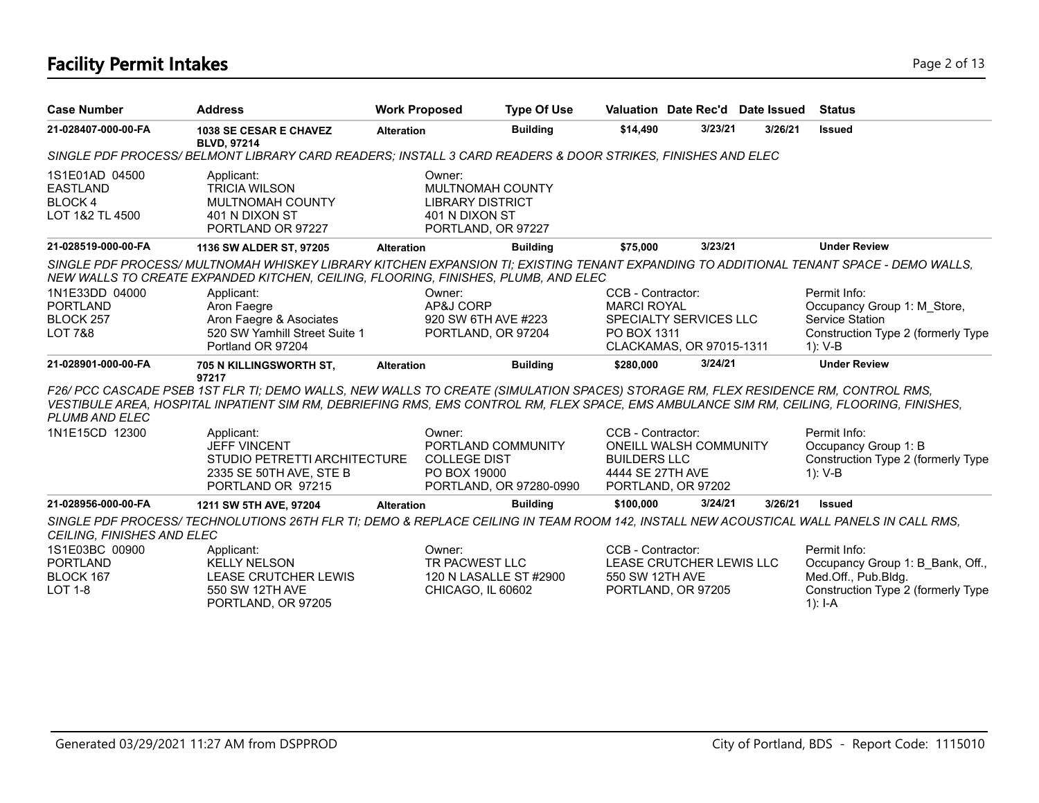# **Facility Permit Intakes** Page 2 of 13

| <b>Case Number</b>                                                    | <b>Address</b>                                                                                                                                                                                                                                                                 | <b>Work Proposed</b>   | <b>Type Of Use</b>                                                                  |                                                              |                                                     | Valuation Date Rec'd Date Issued | <b>Status</b>                                                                                                                |
|-----------------------------------------------------------------------|--------------------------------------------------------------------------------------------------------------------------------------------------------------------------------------------------------------------------------------------------------------------------------|------------------------|-------------------------------------------------------------------------------------|--------------------------------------------------------------|-----------------------------------------------------|----------------------------------|------------------------------------------------------------------------------------------------------------------------------|
| 21-028407-000-00-FA                                                   | <b>1038 SE CESAR E CHAVEZ</b><br><b>BLVD, 97214</b>                                                                                                                                                                                                                            | <b>Alteration</b>      | <b>Building</b>                                                                     | \$14,490                                                     | 3/23/21                                             | 3/26/21                          | <b>Issued</b>                                                                                                                |
|                                                                       | SINGLE PDF PROCESS/ BELMONT LIBRARY CARD READERS; INSTALL 3 CARD READERS & DOOR STRIKES, FINISHES AND ELEC                                                                                                                                                                     |                        |                                                                                     |                                                              |                                                     |                                  |                                                                                                                              |
| 1S1E01AD 04500<br><b>EASTLAND</b><br><b>BLOCK4</b><br>LOT 1&2 TL 4500 | Applicant:<br><b>TRICIA WILSON</b><br><b>MULTNOMAH COUNTY</b><br>401 N DIXON ST<br>PORTLAND OR 97227                                                                                                                                                                           | Owner:                 | MULTNOMAH COUNTY<br><b>LIBRARY DISTRICT</b><br>401 N DIXON ST<br>PORTLAND, OR 97227 |                                                              |                                                     |                                  |                                                                                                                              |
| 21-028519-000-00-FA                                                   | 1136 SW ALDER ST, 97205                                                                                                                                                                                                                                                        | <b>Alteration</b>      | <b>Building</b>                                                                     | \$75,000                                                     | 3/23/21                                             |                                  | <b>Under Review</b>                                                                                                          |
|                                                                       | SINGLE PDF PROCESS/ MULTNOMAH WHISKEY LIBRARY KITCHEN EXPANSION TI; EXISTING TENANT EXPANDING TO ADDITIONAL TENANT SPACE - DEMO WALLS,<br>NEW WALLS TO CREATE EXPANDED KITCHEN, CEILING, FLOORING, FINISHES, PLUMB, AND ELEC                                                   |                        |                                                                                     |                                                              |                                                     |                                  |                                                                                                                              |
| 1N1E33DD 04000                                                        | Applicant:                                                                                                                                                                                                                                                                     | Owner:                 |                                                                                     | CCB - Contractor:                                            |                                                     |                                  | Permit Info:                                                                                                                 |
| <b>PORTLAND</b>                                                       | Aron Faegre                                                                                                                                                                                                                                                                    | AP&J CORP              |                                                                                     | <b>MARCI ROYAL</b>                                           |                                                     |                                  | Occupancy Group 1: M Store,                                                                                                  |
| BLOCK 257                                                             | Aron Faegre & Asociates                                                                                                                                                                                                                                                        |                        | 920 SW 6TH AVE #223                                                                 |                                                              | SPECIALTY SERVICES LLC                              |                                  | <b>Service Station</b>                                                                                                       |
| <b>LOT 7&amp;8</b>                                                    | 520 SW Yamhill Street Suite 1<br>Portland OR 97204                                                                                                                                                                                                                             |                        | PORTLAND, OR 97204                                                                  | PO BOX 1311                                                  | CLACKAMAS, OR 97015-1311                            |                                  | Construction Type 2 (formerly Type<br>1): V-B                                                                                |
| 21-028901-000-00-FA                                                   | 705 N KILLINGSWORTH ST,<br>97217                                                                                                                                                                                                                                               | <b>Alteration</b>      | <b>Building</b>                                                                     | \$280,000                                                    | 3/24/21                                             |                                  | <b>Under Review</b>                                                                                                          |
| PLUMB AND ELEC                                                        | F26/ PCC CASCADE PSEB 1ST FLR TI; DEMO WALLS, NEW WALLS TO CREATE (SIMULATION SPACES) STORAGE RM, FLEX RESIDENCE RM, CONTROL RMS,<br>VESTIBULE AREA, HOSPITAL INPATIENT SIM RM, DEBRIEFING RMS, EMS CONTROL RM, FLEX SPACE, EMS AMBULANCE SIM RM, CEILING, FLOORING, FINISHES, |                        |                                                                                     |                                                              |                                                     |                                  |                                                                                                                              |
| 1N1E15CD 12300                                                        | Applicant:<br><b>JEFF VINCENT</b><br>STUDIO PETRETTI ARCHITECTURE<br>2335 SE 50TH AVE, STE B<br>PORTLAND OR 97215                                                                                                                                                              | Owner:<br>PO BOX 19000 | PORTLAND COMMUNITY<br><b>COLLEGE DIST</b><br>PORTLAND, OR 97280-0990                | CCB - Contractor:<br><b>BUILDERS LLC</b><br>4444 SE 27TH AVE | <b>ONEILL WALSH COMMUNITY</b><br>PORTLAND, OR 97202 |                                  | Permit Info:<br>Occupancy Group 1: B<br>Construction Type 2 (formerly Type<br>1): V-B                                        |
| 21-028956-000-00-FA                                                   | 1211 SW 5TH AVE, 97204                                                                                                                                                                                                                                                         | <b>Alteration</b>      | <b>Building</b>                                                                     | \$100.000                                                    | 3/24/21                                             | 3/26/21                          | <b>Issued</b>                                                                                                                |
| CEILING, FINISHES AND ELEC                                            | SINGLE PDF PROCESS/TECHNOLUTIONS 26TH FLR TI; DEMO & REPLACE CEILING IN TEAM ROOM 142, INSTALL NEW ACOUSTICAL WALL PANELS IN CALL RMS,                                                                                                                                         |                        |                                                                                     |                                                              |                                                     |                                  |                                                                                                                              |
| 1S1E03BC 00900<br><b>PORTLAND</b><br>BLOCK 167<br><b>LOT 1-8</b>      | Applicant:<br><b>KELLY NELSON</b><br><b>LEASE CRUTCHER LEWIS</b><br>550 SW 12TH AVE<br>PORTLAND, OR 97205                                                                                                                                                                      | Owner:                 | TR PACWEST LLC<br>120 N LASALLE ST #2900<br>CHICAGO, IL 60602                       | CCB - Contractor:<br>550 SW 12TH AVE                         | LEASE CRUTCHER LEWIS LLC<br>PORTLAND, OR 97205      |                                  | Permit Info:<br>Occupancy Group 1: B Bank, Off.,<br>Med.Off., Pub.Bldg.<br>Construction Type 2 (formerly Type<br>1): $I - A$ |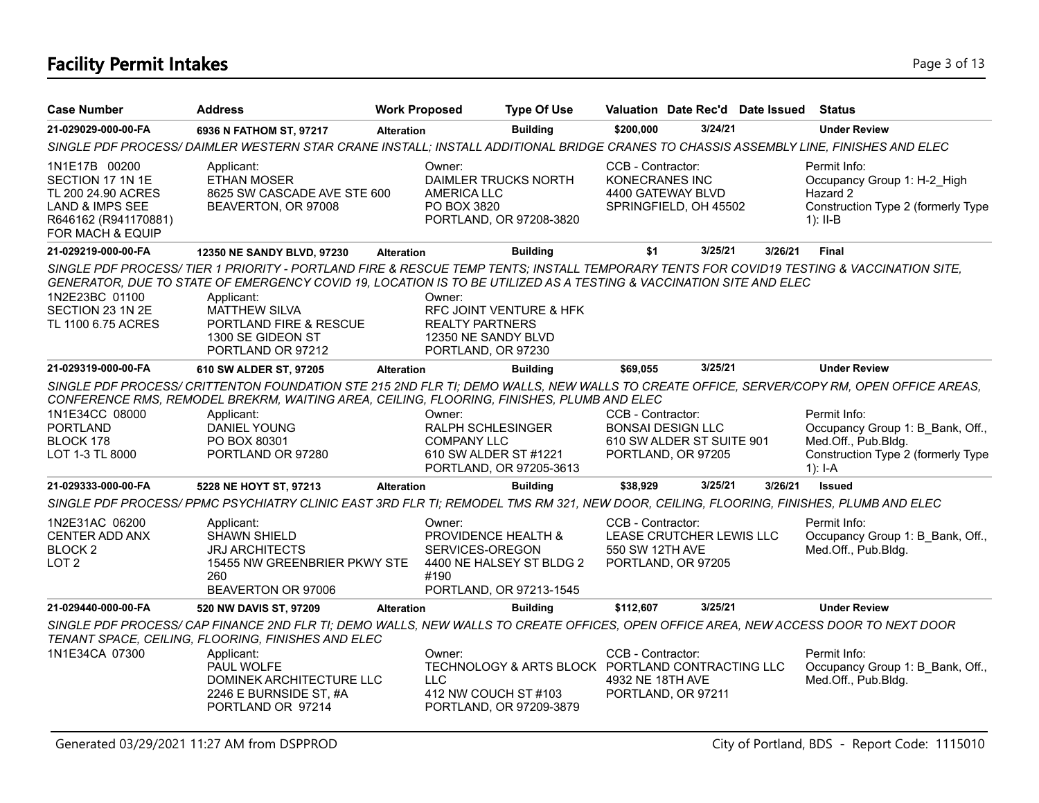# **Facility Permit Intakes** Page 3 of 13

| <b>Case Number</b>                                                                                                     | <b>Address</b>                                                                                                                                                                                                                                                                                                                                                           | <b>Work Proposed</b> |                                                                                   | <b>Type Of Use</b>                                                          |                                       |                                                                             | Valuation Date Rec'd Date Issued Status |                                                                                                                            |
|------------------------------------------------------------------------------------------------------------------------|--------------------------------------------------------------------------------------------------------------------------------------------------------------------------------------------------------------------------------------------------------------------------------------------------------------------------------------------------------------------------|----------------------|-----------------------------------------------------------------------------------|-----------------------------------------------------------------------------|---------------------------------------|-----------------------------------------------------------------------------|-----------------------------------------|----------------------------------------------------------------------------------------------------------------------------|
| 21-029029-000-00-FA                                                                                                    | 6936 N FATHOM ST, 97217                                                                                                                                                                                                                                                                                                                                                  | <b>Alteration</b>    |                                                                                   | <b>Building</b>                                                             | \$200,000                             | 3/24/21                                                                     |                                         | <b>Under Review</b>                                                                                                        |
|                                                                                                                        | SINGLE PDF PROCESS/DAIMLER WESTERN STAR CRANE INSTALL; INSTALL ADDITIONAL BRIDGE CRANES TO CHASSIS ASSEMBLY LINE, FINISHES AND ELEC                                                                                                                                                                                                                                      |                      |                                                                                   |                                                                             |                                       |                                                                             |                                         |                                                                                                                            |
| 1N1E17B 00200<br>SECTION 17 1N 1E<br>TL 200 24.90 ACRES<br>LAND & IMPS SEE<br>R646162 (R941170881)<br>FOR MACH & EQUIP | Applicant:<br><b>ETHAN MOSER</b><br>8625 SW CASCADE AVE STE 600<br>BEAVERTON, OR 97008                                                                                                                                                                                                                                                                                   |                      | Owner:<br>DAIMLER TRUCKS NORTH<br><b>AMERICA LLC</b><br>PO BOX 3820               | PORTLAND, OR 97208-3820                                                     | CCB - Contractor:<br>KONECRANES INC   | 4400 GATEWAY BLVD<br>SPRINGFIELD, OH 45502                                  |                                         | Permit Info:<br>Occupancy Group 1: H-2 High<br>Hazard 2<br>Construction Type 2 (formerly Type<br>1): $II-B$                |
| 21-029219-000-00-FA                                                                                                    | 12350 NE SANDY BLVD, 97230                                                                                                                                                                                                                                                                                                                                               | <b>Alteration</b>    |                                                                                   | <b>Building</b>                                                             | \$1                                   | 3/25/21                                                                     | 3/26/21                                 | <b>Final</b>                                                                                                               |
| 1N2E23BC 01100<br>SECTION 23 1N 2E<br>TL 1100 6.75 ACRES                                                               | SINGLE PDF PROCESS/ TIER 1 PRIORITY - PORTLAND FIRE & RESCUE TEMP TENTS; INSTALL TEMPORARY TENTS FOR COVID19 TESTING & VACCINATION SITE,<br>GENERATOR, DUE TO STATE OF EMERGENCY COVID 19, LOCATION IS TO BE UTILIZED AS A TESTING & VACCINATION SITE AND ELEC<br>Applicant:<br><b>MATTHEW SILVA</b><br>PORTLAND FIRE & RESCUE<br>1300 SE GIDEON ST<br>PORTLAND OR 97212 |                      | Owner:<br><b>REALTY PARTNERS</b><br>12350 NE SANDY BLVD<br>PORTLAND, OR 97230     | RFC JOINT VENTURE & HFK                                                     |                                       |                                                                             |                                         |                                                                                                                            |
| 21-029319-000-00-FA                                                                                                    | 610 SW ALDER ST, 97205                                                                                                                                                                                                                                                                                                                                                   | <b>Alteration</b>    |                                                                                   | <b>Building</b>                                                             | \$69,055                              | 3/25/21                                                                     |                                         | <b>Under Review</b>                                                                                                        |
| 1N1E34CC 08000<br><b>PORTLAND</b><br>BLOCK 178<br>LOT 1-3 TL 8000                                                      | SINGLE PDF PROCESS/ CRITTENTON FOUNDATION STE 215 2ND FLR TI; DEMO WALLS, NEW WALLS TO CREATE OFFICE, SERVER/COPY RM, OPEN OFFICE AREAS,<br>CONFERENCE RMS, REMODEL BREKRM, WAITING AREA, CEILING, FLOORING, FINISHES, PLUMB AND ELEC<br>Applicant:<br>DANIEL YOUNG<br>PO BOX 80301<br>PORTLAND OR 97280                                                                 |                      | Owner:<br><b>RALPH SCHLESINGER</b><br><b>COMPANY LLC</b><br>610 SW ALDER ST #1221 | PORTLAND, OR 97205-3613                                                     | CCB - Contractor:                     | <b>BONSAI DESIGN LLC</b><br>610 SW ALDER ST SUITE 901<br>PORTLAND, OR 97205 |                                         | Permit Info:<br>Occupancy Group 1: B Bank, Off.,<br>Med.Off., Pub.Bldg.<br>Construction Type 2 (formerly Type<br>$1$ : I-A |
| 21-029333-000-00-FA                                                                                                    | 5228 NE HOYT ST, 97213                                                                                                                                                                                                                                                                                                                                                   | <b>Alteration</b>    |                                                                                   | <b>Building</b>                                                             | \$38,929                              | 3/25/21                                                                     | 3/26/21                                 | <b>Issued</b>                                                                                                              |
|                                                                                                                        | SINGLE PDF PROCESS/PPMC PSYCHIATRY CLINIC EAST 3RD FLR TI; REMODEL TMS RM 321, NEW DOOR, CEILING, FLOORING, FINISHES, PLUMB AND ELEC                                                                                                                                                                                                                                     |                      |                                                                                   |                                                                             |                                       |                                                                             |                                         |                                                                                                                            |
| 1N2E31AC 06200<br>CENTER ADD ANX<br><b>BLOCK 2</b><br>LOT <sub>2</sub>                                                 | Applicant:<br><b>SHAWN SHIELD</b><br><b>JRJ ARCHITECTS</b><br>15455 NW GREENBRIER PKWY STE<br>260<br>BEAVERTON OR 97006                                                                                                                                                                                                                                                  |                      | Owner:<br>PROVIDENCE HEALTH &<br>SERVICES-OREGON<br>#190                          | 4400 NE HALSEY ST BLDG 2<br>PORTLAND, OR 97213-1545                         | CCB - Contractor:<br>550 SW 12TH AVE  | LEASE CRUTCHER LEWIS LLC<br>PORTLAND, OR 97205                              |                                         | Permit Info:<br>Occupancy Group 1: B Bank, Off.,<br>Med.Off., Pub.Bldg.                                                    |
| 21-029440-000-00-FA                                                                                                    | 520 NW DAVIS ST, 97209                                                                                                                                                                                                                                                                                                                                                   | <b>Alteration</b>    |                                                                                   | <b>Building</b>                                                             | \$112.607                             | 3/25/21                                                                     |                                         | <b>Under Review</b>                                                                                                        |
| 1N1E34CA 07300                                                                                                         | SINGLE PDF PROCESS/ CAP FINANCE 2ND FLR TI; DEMO WALLS, NEW WALLS TO CREATE OFFICES, OPEN OFFICE AREA, NEW ACCESS DOOR TO NEXT DOOR<br>TENANT SPACE, CEILING, FLOORING, FINISHES AND ELEC<br>Applicant:<br>PAUL WOLFE<br>DOMINEK ARCHITECTURE LLC<br>2246 E BURNSIDE ST, #A<br>PORTLAND OR 97214                                                                         |                      | Owner:<br><b>LLC</b><br>412 NW COUCH ST #103                                      | TECHNOLOGY & ARTS BLOCK PORTLAND CONTRACTING LLC<br>PORTLAND, OR 97209-3879 | CCB - Contractor:<br>4932 NE 18TH AVE | PORTLAND, OR 97211                                                          |                                         | Permit Info:<br>Occupancy Group 1: B Bank, Off.,<br>Med.Off., Pub.Bldg.                                                    |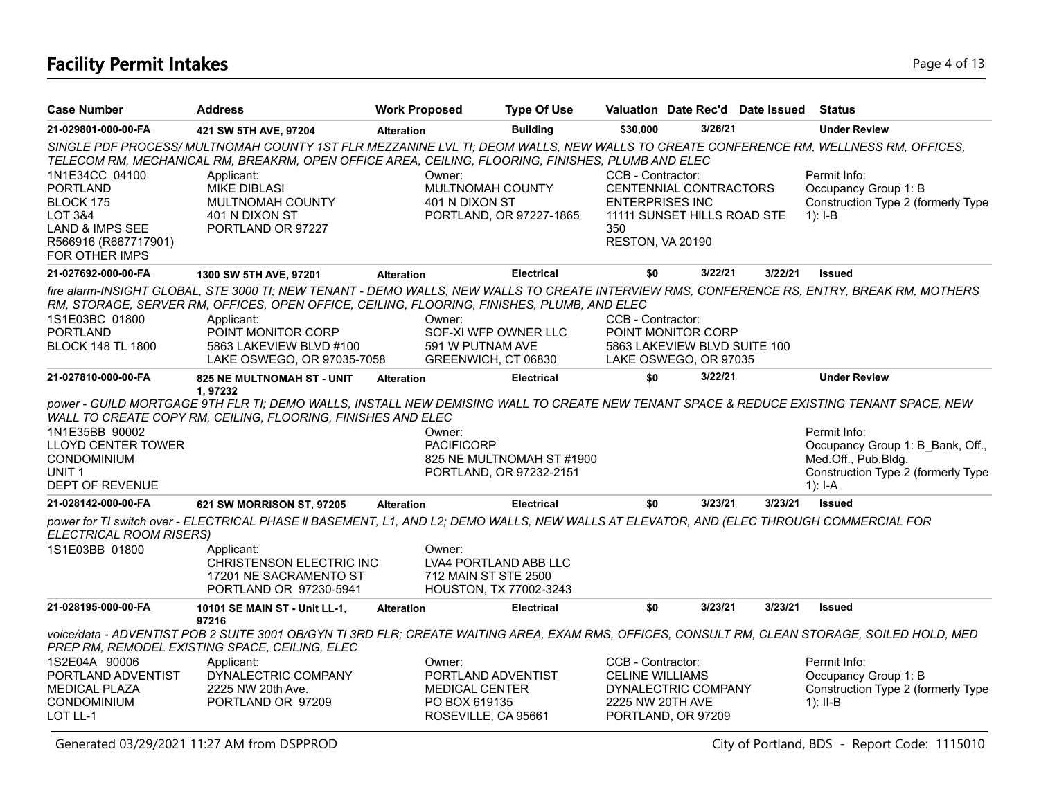# **Facility Permit Intakes** Page 4 of 13

| <b>Case Number</b>                                                                                                                | <b>Address</b>                                                                                                                                                                                                                          | <b>Work Proposed</b> | <b>Type Of Use</b>                                                                  |                                                                                                              |         | Valuation Date Rec'd Date Issued Status |                                                                                                                                                |
|-----------------------------------------------------------------------------------------------------------------------------------|-----------------------------------------------------------------------------------------------------------------------------------------------------------------------------------------------------------------------------------------|----------------------|-------------------------------------------------------------------------------------|--------------------------------------------------------------------------------------------------------------|---------|-----------------------------------------|------------------------------------------------------------------------------------------------------------------------------------------------|
| 21-029801-000-00-FA                                                                                                               | 421 SW 5TH AVE, 97204                                                                                                                                                                                                                   | <b>Alteration</b>    | <b>Building</b>                                                                     | \$30,000                                                                                                     | 3/26/21 |                                         | <b>Under Review</b>                                                                                                                            |
|                                                                                                                                   | SINGLE PDF PROCESS/MULTNOMAH COUNTY 1ST FLR MEZZANINE LVL TI; DEOM WALLS, NEW WALLS TO CREATE CONFERENCE RM, WELLNESS RM, OFFICES,<br>TELECOM RM, MECHANICAL RM, BREAKRM, OPEN OFFICE AREA, CEILING, FLOORING, FINISHES, PLUMB AND ELEC |                      |                                                                                     |                                                                                                              |         |                                         |                                                                                                                                                |
| 1N1E34CC 04100<br><b>PORTLAND</b><br>BLOCK 175<br>LOT 3&4<br><b>LAND &amp; IMPS SEE</b><br>R566916 (R667717901)<br>FOR OTHER IMPS | Applicant:<br><b>MIKE DIBLASI</b><br>MULTNOMAH COUNTY<br>401 N DIXON ST<br>PORTLAND OR 97227                                                                                                                                            | Owner:               | MULTNOMAH COUNTY<br>401 N DIXON ST<br>PORTLAND, OR 97227-1865                       | CCB - Contractor:<br>CENTENNIAL CONTRACTORS<br><b>ENTERPRISES INC</b><br>350<br>RESTON, VA 20190             |         | 11111 SUNSET HILLS ROAD STE             | Permit Info:<br>Occupancy Group 1: B<br>Construction Type 2 (formerly Type<br>$1$ : I-B                                                        |
| 21-027692-000-00-FA                                                                                                               | 1300 SW 5TH AVE, 97201                                                                                                                                                                                                                  | <b>Alteration</b>    | <b>Electrical</b>                                                                   | \$0                                                                                                          | 3/22/21 | 3/22/21                                 | <b>Issued</b>                                                                                                                                  |
| 1S1E03BC 01800<br><b>PORTLAND</b><br><b>BLOCK 148 TL 1800</b>                                                                     | RM, STORAGE, SERVER RM, OFFICES, OPEN OFFICE, CEILING, FLOORING, FINISHES, PLUMB, AND ELEC<br>Applicant:<br>POINT MONITOR CORP<br>5863 LAKEVIEW BLVD #100                                                                               | Owner:               | SOF-XI WFP OWNER LLC<br>591 W PUTNAM AVE                                            | CCB - Contractor:<br>POINT MONITOR CORP                                                                      |         | 5863 LAKEVIEW BLVD SUITE 100            | fire alarm-INSIGHT GLOBAL, STE 3000 TI; NEW TENANT - DEMO WALLS, NEW WALLS TO CREATE INTERVIEW RMS, CONFERENCE RS, ENTRY, BREAK RM, MOTHERS    |
|                                                                                                                                   | LAKE OSWEGO, OR 97035-7058                                                                                                                                                                                                              |                      | GREENWICH, CT 06830                                                                 | LAKE OSWEGO, OR 97035                                                                                        |         |                                         |                                                                                                                                                |
| 21-027810-000-00-FA                                                                                                               | 825 NE MULTNOMAH ST - UNIT<br>1,97232                                                                                                                                                                                                   | <b>Alteration</b>    | <b>Electrical</b>                                                                   | \$0                                                                                                          | 3/22/21 |                                         | <b>Under Review</b>                                                                                                                            |
| 1N1E35BB 90002<br><b>LLOYD CENTER TOWER</b><br><b>CONDOMINIUM</b><br>UNIT <sub>1</sub><br><b>DEPT OF REVENUE</b>                  | power - GUILD MORTGAGE 9TH FLR TI; DEMO WALLS, INSTALL NEW DEMISING WALL TO CREATE NEW TENANT SPACE & REDUCE EXISTING TENANT SPACE, NEW<br>WALL TO CREATE COPY RM, CEILING, FLOORING, FINISHES AND ELEC                                 | Owner:               | <b>PACIFICORP</b><br>825 NE MULTNOMAH ST #1900<br>PORTLAND, OR 97232-2151           |                                                                                                              |         |                                         | Permit Info:<br>Occupancy Group 1: B Bank, Off.,<br>Med.Off., Pub.Bldg.<br>Construction Type 2 (formerly Type<br>$1$ : I-A                     |
| 21-028142-000-00-FA                                                                                                               | 621 SW MORRISON ST, 97205                                                                                                                                                                                                               | <b>Alteration</b>    | <b>Electrical</b>                                                                   | \$0                                                                                                          | 3/23/21 | 3/23/21                                 | <b>Issued</b>                                                                                                                                  |
| ELECTRICAL ROOM RISERS)<br>1S1E03BB 01800                                                                                         | power for TI switch over - ELECTRICAL PHASE II BASEMENT, L1, AND L2; DEMO WALLS, NEW WALLS AT ELEVATOR, AND (ELEC THROUGH COMMERCIAL FOR<br>Applicant:<br>CHRISTENSON ELECTRIC INC<br>17201 NE SACRAMENTO ST<br>PORTLAND OR 97230-5941  | Owner:               | LVA4 PORTLAND ABB LLC<br>712 MAIN ST STE 2500<br>HOUSTON, TX 77002-3243             |                                                                                                              |         |                                         |                                                                                                                                                |
| 21-028195-000-00-FA                                                                                                               | 10101 SE MAIN ST - Unit LL-1,<br>97216                                                                                                                                                                                                  | <b>Alteration</b>    | <b>Electrical</b>                                                                   | \$0                                                                                                          | 3/23/21 | 3/23/21                                 | <b>Issued</b>                                                                                                                                  |
|                                                                                                                                   | PREP RM, REMODEL EXISTING SPACE, CEILING, ELEC                                                                                                                                                                                          |                      |                                                                                     |                                                                                                              |         |                                         | voice/data - ADVENTIST POB 2 SUITE 3001 OB/GYN TI 3RD FLR; CREATE WAITING AREA, EXAM RMS, OFFICES, CONSULT RM, CLEAN STORAGE, SOILED HOLD, MED |
| 1S2E04A 90006<br>PORTLAND ADVENTIST<br><b>MEDICAL PLAZA</b><br>CONDOMINIUM<br>LOT LL-1                                            | Applicant:<br>DYNALECTRIC COMPANY<br>2225 NW 20th Ave.<br>PORTLAND OR 97209                                                                                                                                                             | Owner:               | PORTLAND ADVENTIST<br><b>MEDICAL CENTER</b><br>PO BOX 619135<br>ROSEVILLE, CA 95661 | CCB - Contractor:<br><b>CELINE WILLIAMS</b><br>DYNALECTRIC COMPANY<br>2225 NW 20TH AVE<br>PORTLAND, OR 97209 |         |                                         | Permit Info:<br>Occupancy Group 1: B<br>Construction Type 2 (formerly Type<br>$1$ : II-B                                                       |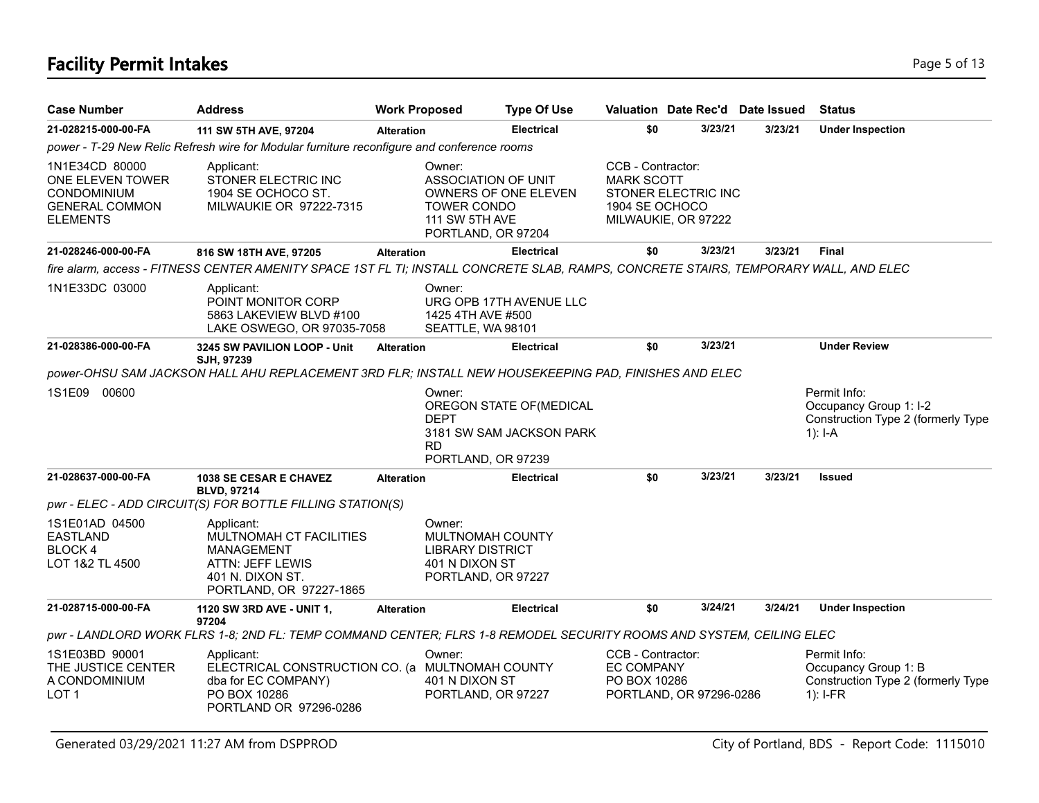# **Facility Permit Intakes** Page 5 of 13

| <b>Case Number</b>                                                                            | <b>Address</b>                                                                                                                       | <b>Work Proposed</b> |                                                                                                                     | <b>Type Of Use</b>                                   | Valuation Date Rec'd Date Issued                                                                       |         |         | <b>Status</b>                                                                             |
|-----------------------------------------------------------------------------------------------|--------------------------------------------------------------------------------------------------------------------------------------|----------------------|---------------------------------------------------------------------------------------------------------------------|------------------------------------------------------|--------------------------------------------------------------------------------------------------------|---------|---------|-------------------------------------------------------------------------------------------|
| 21-028215-000-00-FA                                                                           | 111 SW 5TH AVE, 97204                                                                                                                | <b>Alteration</b>    |                                                                                                                     | <b>Electrical</b>                                    | \$0                                                                                                    | 3/23/21 | 3/23/21 | <b>Under Inspection</b>                                                                   |
|                                                                                               | power - T-29 New Relic Refresh wire for Modular furniture reconfigure and conference rooms                                           |                      |                                                                                                                     |                                                      |                                                                                                        |         |         |                                                                                           |
| 1N1E34CD 80000<br>ONE ELEVEN TOWER<br>CONDOMINIUM<br><b>GENERAL COMMON</b><br><b>ELEMENTS</b> | Applicant:<br>STONER ELECTRIC INC<br>1904 SE OCHOCO ST.<br>MILWAUKIE OR 97222-7315                                                   |                      | Owner:<br><b>ASSOCIATION OF UNIT</b><br>OWNERS OF ONE ELEVEN<br>TOWER CONDO<br>111 SW 5TH AVE<br>PORTLAND, OR 97204 |                                                      | CCB - Contractor:<br><b>MARK SCOTT</b><br>STONER ELECTRIC INC<br>1904 SE OCHOCO<br>MILWAUKIE, OR 97222 |         |         |                                                                                           |
| 21-028246-000-00-FA                                                                           | 816 SW 18TH AVE, 97205                                                                                                               | <b>Alteration</b>    |                                                                                                                     | <b>Electrical</b>                                    | \$0                                                                                                    | 3/23/21 | 3/23/21 | <b>Final</b>                                                                              |
|                                                                                               | fire alarm, access - FITNESS CENTER AMENITY SPACE 1ST FL TI; INSTALL CONCRETE SLAB, RAMPS, CONCRETE STAIRS, TEMPORARY WALL, AND ELEC |                      |                                                                                                                     |                                                      |                                                                                                        |         |         |                                                                                           |
| 1N1E33DC 03000                                                                                | Applicant:<br>POINT MONITOR CORP<br>5863 LAKEVIEW BLVD #100<br>LAKE OSWEGO, OR 97035-7058                                            |                      | Owner:<br>URG OPB 17TH AVENUE LLC<br>1425 4TH AVE #500<br>SEATTLE, WA 98101                                         |                                                      |                                                                                                        |         |         |                                                                                           |
| 21-028386-000-00-FA                                                                           | 3245 SW PAVILION LOOP - Unit<br>SJH, 97239                                                                                           | <b>Alteration</b>    |                                                                                                                     | <b>Electrical</b>                                    | \$0                                                                                                    | 3/23/21 |         | <b>Under Review</b>                                                                       |
|                                                                                               | power-OHSU SAM JACKSON HALL AHU REPLACEMENT 3RD FLR; INSTALL NEW HOUSEKEEPING PAD, FINISHES AND ELEC                                 |                      |                                                                                                                     |                                                      |                                                                                                        |         |         |                                                                                           |
| 1S1E09 00600                                                                                  |                                                                                                                                      |                      | Owner:<br><b>DEPT</b><br><b>RD</b><br>PORTLAND, OR 97239                                                            | OREGON STATE OF (MEDICAL<br>3181 SW SAM JACKSON PARK |                                                                                                        |         |         | Permit Info:<br>Occupancy Group 1: I-2<br>Construction Type 2 (formerly Type<br>$1$ : I-A |
| 21-028637-000-00-FA                                                                           | <b>1038 SE CESAR E CHAVEZ</b><br><b>BLVD, 97214</b><br>pwr - ELEC - ADD CIRCUIT(S) FOR BOTTLE FILLING STATION(S)                     | <b>Alteration</b>    |                                                                                                                     | <b>Electrical</b>                                    | \$0                                                                                                    | 3/23/21 | 3/23/21 | Issued                                                                                    |
| 1S1E01AD 04500<br><b>EASTLAND</b><br>BLOCK 4<br>LOT 1&2 TL 4500                               | Applicant:<br>MULTNOMAH CT FACILITIES<br><b>MANAGEMENT</b><br>ATTN: JEFF LEWIS<br>401 N. DIXON ST.<br>PORTLAND, OR 97227-1865        |                      | Owner:<br>MULTNOMAH COUNTY<br><b>LIBRARY DISTRICT</b><br>401 N DIXON ST<br>PORTLAND, OR 97227                       |                                                      |                                                                                                        |         |         |                                                                                           |
| 21-028715-000-00-FA                                                                           | 1120 SW 3RD AVE - UNIT 1,<br>97204                                                                                                   | <b>Alteration</b>    |                                                                                                                     | Electrical                                           | \$0                                                                                                    | 3/24/21 | 3/24/21 | <b>Under Inspection</b>                                                                   |
|                                                                                               | pwr - LANDLORD WORK FLRS 1-8; 2ND FL: TEMP COMMAND CENTER; FLRS 1-8 REMODEL SECURITY ROOMS AND SYSTEM, CEILING ELEC                  |                      |                                                                                                                     |                                                      |                                                                                                        |         |         |                                                                                           |
| 1S1E03BD 90001<br>THE JUSTICE CENTER<br>A CONDOMINIUM<br>LOT 1                                | Applicant:<br>ELECTRICAL CONSTRUCTION CO. (a MULTNOMAH COUNTY<br>dba for EC COMPANY)<br>PO BOX 10286<br>PORTLAND OR 97296-0286       |                      | Owner:<br>401 N DIXON ST<br>PORTLAND, OR 97227                                                                      |                                                      | CCB - Contractor:<br><b>EC COMPANY</b><br>PO BOX 10286<br>PORTLAND, OR 97296-0286                      |         |         | Permit Info:<br>Occupancy Group 1: B<br>Construction Type 2 (formerly Type<br>$1$ : I-FR  |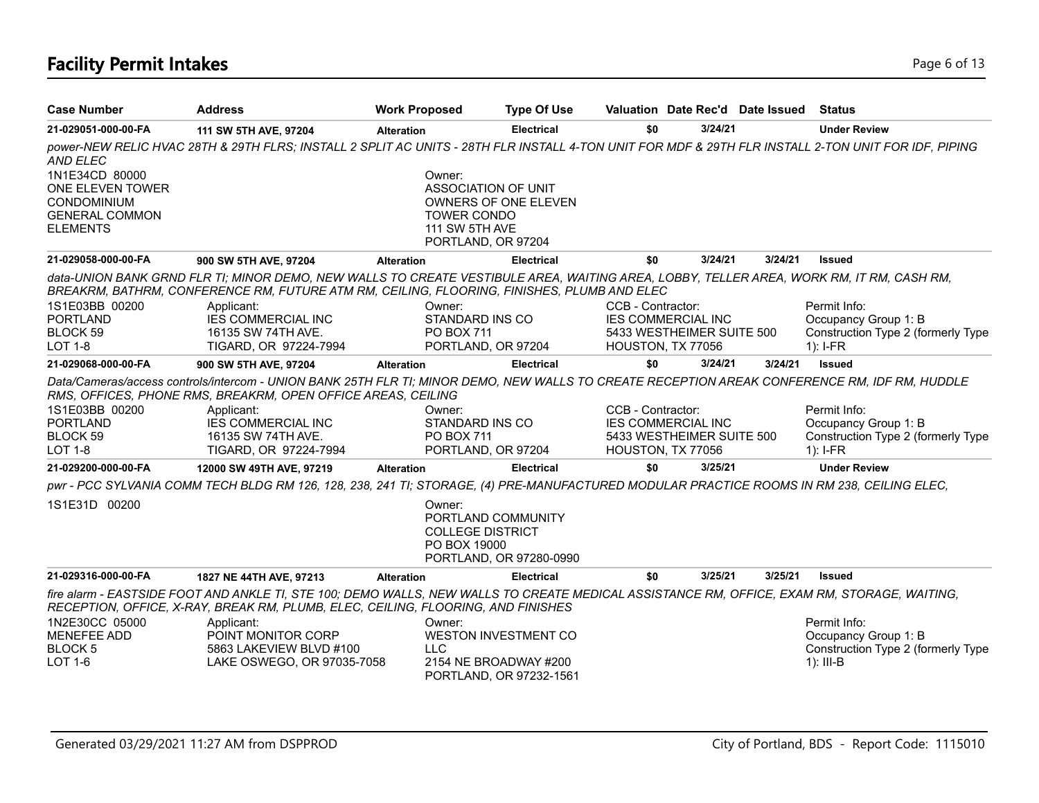# **Facility Permit Intakes** Page 6 of 13

| <b>Case Number</b>                   | <b>Address</b>                                                                                                                                                                                                                        | <b>Work Proposed</b> |                                                                         | <b>Type Of Use</b>                               |                           |         | Valuation Date Rec'd Date Issued | <b>Status</b>                                                                                                                                       |
|--------------------------------------|---------------------------------------------------------------------------------------------------------------------------------------------------------------------------------------------------------------------------------------|----------------------|-------------------------------------------------------------------------|--------------------------------------------------|---------------------------|---------|----------------------------------|-----------------------------------------------------------------------------------------------------------------------------------------------------|
| 21-029051-000-00-FA                  | 111 SW 5TH AVE, 97204                                                                                                                                                                                                                 | <b>Alteration</b>    |                                                                         | <b>Electrical</b>                                | \$0                       | 3/24/21 |                                  | <b>Under Review</b>                                                                                                                                 |
| <b>AND ELEC</b>                      |                                                                                                                                                                                                                                       |                      |                                                                         |                                                  |                           |         |                                  | power-NEW RELIC HVAC 28TH & 29TH FLRS; INSTALL 2 SPLIT AC UNITS - 28TH FLR INSTALL 4-TON UNIT FOR MDF & 29TH FLR INSTALL 2-TON UNIT FOR IDF, PIPING |
| 1N1E34CD 80000                       |                                                                                                                                                                                                                                       |                      | Owner:                                                                  |                                                  |                           |         |                                  |                                                                                                                                                     |
| ONE ELEVEN TOWER                     |                                                                                                                                                                                                                                       |                      | ASSOCIATION OF UNIT                                                     |                                                  |                           |         |                                  |                                                                                                                                                     |
| CONDOMINIUM<br><b>GENERAL COMMON</b> |                                                                                                                                                                                                                                       |                      | <b>TOWER CONDO</b>                                                      | OWNERS OF ONE ELEVEN                             |                           |         |                                  |                                                                                                                                                     |
| <b>ELEMENTS</b>                      |                                                                                                                                                                                                                                       |                      | 111 SW 5TH AVE                                                          |                                                  |                           |         |                                  |                                                                                                                                                     |
|                                      |                                                                                                                                                                                                                                       |                      | PORTLAND, OR 97204                                                      |                                                  |                           |         |                                  |                                                                                                                                                     |
| 21-029058-000-00-FA                  | 900 SW 5TH AVE, 97204                                                                                                                                                                                                                 | <b>Alteration</b>    |                                                                         | <b>Electrical</b>                                | \$0                       | 3/24/21 | 3/24/21                          | <b>Issued</b>                                                                                                                                       |
|                                      | data-UNION BANK GRND FLR TI; MINOR DEMO, NEW WALLS TO CREATE VESTIBULE AREA, WAITING AREA, LOBBY, TELLER AREA, WORK RM, IT RM, CASH RM,<br>BREAKRM, BATHRM, CONFERENCE RM, FUTURE ATM RM, CEILING, FLOORING, FINISHES, PLUMB AND ELEC |                      |                                                                         |                                                  |                           |         |                                  |                                                                                                                                                     |
| 1S1E03BB 00200                       | Applicant:                                                                                                                                                                                                                            |                      | Owner:                                                                  |                                                  | CCB - Contractor:         |         |                                  | Permit Info:                                                                                                                                        |
| <b>PORTLAND</b>                      | <b>IES COMMERCIAL INC</b>                                                                                                                                                                                                             |                      | STANDARD INS CO                                                         |                                                  | <b>IES COMMERCIAL INC</b> |         |                                  | Occupancy Group 1: B                                                                                                                                |
| BLOCK 59                             | 16135 SW 74TH AVE.                                                                                                                                                                                                                    |                      | <b>PO BOX 711</b>                                                       |                                                  | 5433 WESTHEIMER SUITE 500 |         |                                  | Construction Type 2 (formerly Type                                                                                                                  |
| <b>LOT 1-8</b>                       | TIGARD, OR 97224-7994                                                                                                                                                                                                                 |                      | PORTLAND, OR 97204                                                      |                                                  | HOUSTON, TX 77056         |         |                                  | $1$ : I-FR                                                                                                                                          |
| 21-029068-000-00-FA                  | 900 SW 5TH AVE, 97204                                                                                                                                                                                                                 | <b>Alteration</b>    |                                                                         | <b>Electrical</b>                                | \$0                       | 3/24/21 | 3/24/21                          | <b>Issued</b>                                                                                                                                       |
|                                      | Data/Cameras/access controls/intercom - UNION BANK 25TH FLR TI; MINOR DEMO, NEW WALLS TO CREATE RECEPTION AREAK CONFERENCE RM, IDF RM, HUDDLE<br>RMS, OFFICES, PHONE RMS, BREAKRM, OPEN OFFICE AREAS, CEILING                         |                      |                                                                         |                                                  |                           |         |                                  |                                                                                                                                                     |
| 1S1E03BB 00200                       | Applicant:                                                                                                                                                                                                                            |                      | Owner:                                                                  |                                                  | CCB - Contractor:         |         |                                  | Permit Info:                                                                                                                                        |
| <b>PORTLAND</b>                      | <b>IES COMMERCIAL INC</b>                                                                                                                                                                                                             |                      | STANDARD INS CO                                                         |                                                  | <b>IES COMMERCIAL INC</b> |         |                                  | Occupancy Group 1: B                                                                                                                                |
| BLOCK 59                             | 16135 SW 74TH AVE.                                                                                                                                                                                                                    |                      | <b>PO BOX 711</b>                                                       |                                                  | 5433 WESTHEIMER SUITE 500 |         |                                  | Construction Type 2 (formerly Type                                                                                                                  |
| LOT 1-8                              | TIGARD, OR 97224-7994                                                                                                                                                                                                                 |                      | PORTLAND, OR 97204                                                      |                                                  | HOUSTON, TX 77056         |         |                                  | $1$ : I-FR                                                                                                                                          |
| 21-029200-000-00-FA                  | 12000 SW 49TH AVE, 97219                                                                                                                                                                                                              | <b>Alteration</b>    |                                                                         | <b>Electrical</b>                                | \$0                       | 3/25/21 |                                  | <b>Under Review</b>                                                                                                                                 |
|                                      | pwr - PCC SYLVANIA COMM TECH BLDG RM 126, 128, 238, 241 TI; STORAGE, (4) PRE-MANUFACTURED MODULAR PRACTICE ROOMS IN RM 238, CEILING ELEC,                                                                                             |                      |                                                                         |                                                  |                           |         |                                  |                                                                                                                                                     |
| 1S1E31D 00200                        |                                                                                                                                                                                                                                       |                      | Owner:<br>PORTLAND COMMUNITY<br><b>COLLEGE DISTRICT</b><br>PO BOX 19000 |                                                  |                           |         |                                  |                                                                                                                                                     |
|                                      |                                                                                                                                                                                                                                       |                      |                                                                         | PORTLAND, OR 97280-0990                          |                           |         |                                  |                                                                                                                                                     |
| 21-029316-000-00-FA                  | 1827 NE 44TH AVE, 97213                                                                                                                                                                                                               | <b>Alteration</b>    |                                                                         | <b>Electrical</b>                                | \$0                       | 3/25/21 | 3/25/21                          | <b>Issued</b>                                                                                                                                       |
|                                      | fire alarm - EASTSIDE FOOT AND ANKLE TI, STE 100; DEMO WALLS, NEW WALLS TO CREATE MEDICAL ASSISTANCE RM, OFFICE, EXAM RM, STORAGE, WAITING,<br>RECEPTION, OFFICE, X-RAY, BREAK RM, PLUMB, ELEC, CEILING, FLOORING, AND FINISHES       |                      |                                                                         |                                                  |                           |         |                                  |                                                                                                                                                     |
| 1N2E30CC 05000                       | Applicant:                                                                                                                                                                                                                            |                      | Owner:                                                                  |                                                  |                           |         |                                  | Permit Info:                                                                                                                                        |
| <b>MENEFEE ADD</b>                   | POINT MONITOR CORP                                                                                                                                                                                                                    |                      |                                                                         | <b>WESTON INVESTMENT CO</b>                      |                           |         |                                  | Occupancy Group 1: B                                                                                                                                |
| <b>BLOCK 5</b>                       | 5863 LAKEVIEW BLVD #100                                                                                                                                                                                                               |                      | <b>LLC</b>                                                              |                                                  |                           |         |                                  | Construction Type 2 (formerly Type                                                                                                                  |
| LOT 1-6                              | LAKE OSWEGO, OR 97035-7058                                                                                                                                                                                                            |                      |                                                                         | 2154 NE BROADWAY #200<br>PORTLAND, OR 97232-1561 |                           |         |                                  | $1$ : III-B                                                                                                                                         |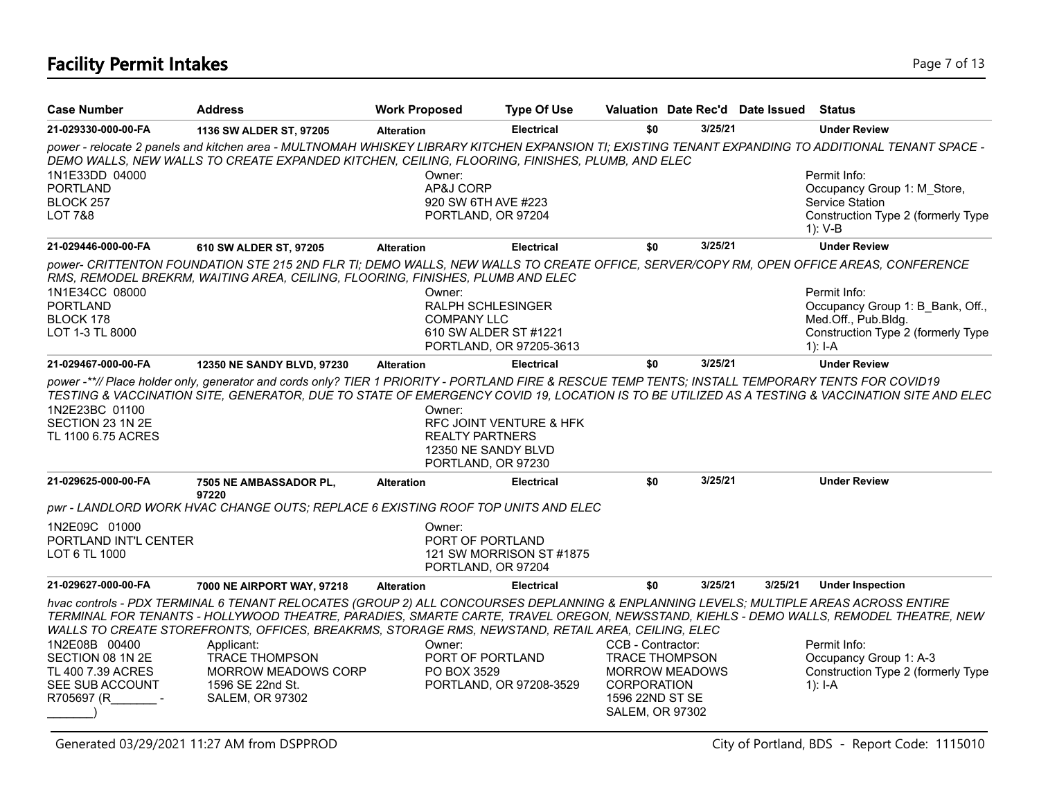# **Facility Permit Intakes** Page 7 of 13

| 3/25/21<br><b>Electrical</b><br>\$0<br><b>Under Review</b><br>1136 SW ALDER ST, 97205<br><b>Alteration</b><br>power - relocate 2 panels and kitchen area - MULTNOMAH WHISKEY LIBRARY KITCHEN EXPANSION TI; EXISTING TENANT EXPANDING TO ADDITIONAL TENANT SPACE -<br>DEMO WALLS, NEW WALLS TO CREATE EXPANDED KITCHEN, CEILING, FLOORING, FINISHES, PLUMB, AND ELEC<br>Permit Info:<br>Owner:<br>AP&J CORP<br>PORTLAND<br>Occupancy Group 1: M Store,<br>BLOCK 257<br>920 SW 6TH AVE #223<br>Service Station<br><b>LOT 7&amp;8</b><br>PORTLAND, OR 97204<br>Construction Type 2 (formerly Type<br>$1): V-B$<br>3/25/21<br><b>Under Review</b><br>\$0<br><b>Electrical</b><br>610 SW ALDER ST, 97205<br><b>Alteration</b><br>power- CRITTENTON FOUNDATION STE 215 2ND FLR TI; DEMO WALLS, NEW WALLS TO CREATE OFFICE, SERVER/COPY RM, OPEN OFFICE AREAS, CONFERENCE<br>RMS, REMODEL BREKRM, WAITING AREA, CEILING, FLOORING, FINISHES, PLUMB AND ELEC<br>Permit Info:<br>Owner:<br><b>PORTLAND</b><br><b>RALPH SCHLESINGER</b><br>Occupancy Group 1: B Bank, Off.,<br>BLOCK 178<br>Med.Off., Pub.Bldg.<br><b>COMPANY LLC</b><br>Construction Type 2 (formerly Type<br>LOT 1-3 TL 8000<br>610 SW ALDER ST #1221<br>PORTLAND, OR 97205-3613<br>1): $I - A$<br>3/25/21<br>\$0<br><b>Under Review</b><br>12350 NE SANDY BLVD, 97230<br><b>Electrical</b><br><b>Alteration</b><br>power -**// Place holder only, generator and cords only? TIER 1 PRIORITY - PORTLAND FIRE & RESCUE TEMP TENTS; INSTALL TEMPORARY TENTS FOR COVID19<br>1N2E23BC 01100<br>Owner:<br>SECTION 23 1N 2E<br>RFC JOINT VENTURE & HFK<br><b>REALTY PARTNERS</b><br>12350 NE SANDY BLVD<br>PORTLAND, OR 97230<br>3/25/21<br>\$0<br><b>Under Review</b><br><b>Electrical</b><br>7505 NE AMBASSADOR PL,<br><b>Alteration</b><br>97220<br>pwr - LANDLORD WORK HVAC CHANGE OUTS; REPLACE 6 EXISTING ROOF TOP UNITS AND ELEC<br>Owner:<br>PORTLAND INT'L CENTER<br><b>PORT OF PORTLAND</b><br>121 SW MORRISON ST #1875<br>PORTLAND, OR 97204<br>3/25/21<br>3/25/21<br>\$0<br><b>Under Inspection</b><br><b>Electrical</b><br>7000 NE AIRPORT WAY, 97218<br><b>Alteration</b><br>hvac controls - PDX TERMINAL 6 TENANT RELOCATES (GROUP 2) ALL CONCOURSES DEPLANNING & ENPLANNING LEVELS; MULTIPLE AREAS ACROSS ENTIRE<br>TERMINAL FOR TENANTS - HOLLYWOOD THEATRE, PARADIES, SMARTE CARTE, TRAVEL OREGON, NEWSSTAND, KIEHLS - DEMO WALLS, REMODEL THEATRE, NEW<br>WALLS TO CREATE STOREFRONTS, OFFICES, BREAKRMS, STORAGE RMS, NEWSTAND, RETAIL AREA, CEILING, ELEC<br>CCB - Contractor:<br>Permit Info:<br>Owner:<br>Applicant:<br>SECTION 08 1N 2E<br><b>TRACE THOMPSON</b><br>PORT OF PORTLAND<br><b>TRACE THOMPSON</b><br>Occupancy Group 1: A-3<br>Construction Type 2 (formerly Type<br>TL 400 7.39 ACRES<br><b>MORROW MEADOWS CORP</b><br>PO BOX 3529<br><b>MORROW MEADOWS</b><br>SEE SUB ACCOUNT<br>1596 SE 22nd St.<br>PORTLAND, OR 97208-3529<br>CORPORATION<br>1): I-A<br>R705697 (R<br><b>SALEM, OR 97302</b><br>1596 22ND ST SE | <b>Case Number</b>             | <b>Address</b> | <b>Work Proposed</b> | <b>Type Of Use</b> |  | Valuation Date Rec'd Date Issued | <b>Status</b> |
|-----------------------------------------------------------------------------------------------------------------------------------------------------------------------------------------------------------------------------------------------------------------------------------------------------------------------------------------------------------------------------------------------------------------------------------------------------------------------------------------------------------------------------------------------------------------------------------------------------------------------------------------------------------------------------------------------------------------------------------------------------------------------------------------------------------------------------------------------------------------------------------------------------------------------------------------------------------------------------------------------------------------------------------------------------------------------------------------------------------------------------------------------------------------------------------------------------------------------------------------------------------------------------------------------------------------------------------------------------------------------------------------------------------------------------------------------------------------------------------------------------------------------------------------------------------------------------------------------------------------------------------------------------------------------------------------------------------------------------------------------------------------------------------------------------------------------------------------------------------------------------------------------------------------------------------------------------------------------------------------------------------------------------------------------------------------------------------------------------------------------------------------------------------------------------------------------------------------------------------------------------------------------------------------------------------------------------------------------------------------------------------------------------------------------------------------------------------------------------------------------------------------------------------------------------------------------------------------------------------------------------------------------------------------------------------------------------------------------------------------------------------------------------------------------------------------------------------------------------------------------------------------------------------------------------------------------------------------------------------------------------------|--------------------------------|----------------|----------------------|--------------------|--|----------------------------------|---------------|
| TESTING & VACCINATION SITE, GENERATOR, DUE TO STATE OF EMERGENCY COVID 19, LOCATION IS TO BE UTILIZED AS A TESTING & VACCINATION SITE AND ELEC                                                                                                                                                                                                                                                                                                                                                                                                                                                                                                                                                                                                                                                                                                                                                                                                                                                                                                                                                                                                                                                                                                                                                                                                                                                                                                                                                                                                                                                                                                                                                                                                                                                                                                                                                                                                                                                                                                                                                                                                                                                                                                                                                                                                                                                                                                                                                                                                                                                                                                                                                                                                                                                                                                                                                                                                                                                            | 21-029330-000-00-FA            |                |                      |                    |  |                                  |               |
|                                                                                                                                                                                                                                                                                                                                                                                                                                                                                                                                                                                                                                                                                                                                                                                                                                                                                                                                                                                                                                                                                                                                                                                                                                                                                                                                                                                                                                                                                                                                                                                                                                                                                                                                                                                                                                                                                                                                                                                                                                                                                                                                                                                                                                                                                                                                                                                                                                                                                                                                                                                                                                                                                                                                                                                                                                                                                                                                                                                                           |                                |                |                      |                    |  |                                  |               |
|                                                                                                                                                                                                                                                                                                                                                                                                                                                                                                                                                                                                                                                                                                                                                                                                                                                                                                                                                                                                                                                                                                                                                                                                                                                                                                                                                                                                                                                                                                                                                                                                                                                                                                                                                                                                                                                                                                                                                                                                                                                                                                                                                                                                                                                                                                                                                                                                                                                                                                                                                                                                                                                                                                                                                                                                                                                                                                                                                                                                           | 1N1E33DD 04000                 |                |                      |                    |  |                                  |               |
|                                                                                                                                                                                                                                                                                                                                                                                                                                                                                                                                                                                                                                                                                                                                                                                                                                                                                                                                                                                                                                                                                                                                                                                                                                                                                                                                                                                                                                                                                                                                                                                                                                                                                                                                                                                                                                                                                                                                                                                                                                                                                                                                                                                                                                                                                                                                                                                                                                                                                                                                                                                                                                                                                                                                                                                                                                                                                                                                                                                                           |                                |                |                      |                    |  |                                  |               |
|                                                                                                                                                                                                                                                                                                                                                                                                                                                                                                                                                                                                                                                                                                                                                                                                                                                                                                                                                                                                                                                                                                                                                                                                                                                                                                                                                                                                                                                                                                                                                                                                                                                                                                                                                                                                                                                                                                                                                                                                                                                                                                                                                                                                                                                                                                                                                                                                                                                                                                                                                                                                                                                                                                                                                                                                                                                                                                                                                                                                           |                                |                |                      |                    |  |                                  |               |
|                                                                                                                                                                                                                                                                                                                                                                                                                                                                                                                                                                                                                                                                                                                                                                                                                                                                                                                                                                                                                                                                                                                                                                                                                                                                                                                                                                                                                                                                                                                                                                                                                                                                                                                                                                                                                                                                                                                                                                                                                                                                                                                                                                                                                                                                                                                                                                                                                                                                                                                                                                                                                                                                                                                                                                                                                                                                                                                                                                                                           |                                |                |                      |                    |  |                                  |               |
|                                                                                                                                                                                                                                                                                                                                                                                                                                                                                                                                                                                                                                                                                                                                                                                                                                                                                                                                                                                                                                                                                                                                                                                                                                                                                                                                                                                                                                                                                                                                                                                                                                                                                                                                                                                                                                                                                                                                                                                                                                                                                                                                                                                                                                                                                                                                                                                                                                                                                                                                                                                                                                                                                                                                                                                                                                                                                                                                                                                                           | 21-029446-000-00-FA            |                |                      |                    |  |                                  |               |
|                                                                                                                                                                                                                                                                                                                                                                                                                                                                                                                                                                                                                                                                                                                                                                                                                                                                                                                                                                                                                                                                                                                                                                                                                                                                                                                                                                                                                                                                                                                                                                                                                                                                                                                                                                                                                                                                                                                                                                                                                                                                                                                                                                                                                                                                                                                                                                                                                                                                                                                                                                                                                                                                                                                                                                                                                                                                                                                                                                                                           |                                |                |                      |                    |  |                                  |               |
|                                                                                                                                                                                                                                                                                                                                                                                                                                                                                                                                                                                                                                                                                                                                                                                                                                                                                                                                                                                                                                                                                                                                                                                                                                                                                                                                                                                                                                                                                                                                                                                                                                                                                                                                                                                                                                                                                                                                                                                                                                                                                                                                                                                                                                                                                                                                                                                                                                                                                                                                                                                                                                                                                                                                                                                                                                                                                                                                                                                                           | 1N1E34CC 08000                 |                |                      |                    |  |                                  |               |
|                                                                                                                                                                                                                                                                                                                                                                                                                                                                                                                                                                                                                                                                                                                                                                                                                                                                                                                                                                                                                                                                                                                                                                                                                                                                                                                                                                                                                                                                                                                                                                                                                                                                                                                                                                                                                                                                                                                                                                                                                                                                                                                                                                                                                                                                                                                                                                                                                                                                                                                                                                                                                                                                                                                                                                                                                                                                                                                                                                                                           |                                |                |                      |                    |  |                                  |               |
|                                                                                                                                                                                                                                                                                                                                                                                                                                                                                                                                                                                                                                                                                                                                                                                                                                                                                                                                                                                                                                                                                                                                                                                                                                                                                                                                                                                                                                                                                                                                                                                                                                                                                                                                                                                                                                                                                                                                                                                                                                                                                                                                                                                                                                                                                                                                                                                                                                                                                                                                                                                                                                                                                                                                                                                                                                                                                                                                                                                                           |                                |                |                      |                    |  |                                  |               |
|                                                                                                                                                                                                                                                                                                                                                                                                                                                                                                                                                                                                                                                                                                                                                                                                                                                                                                                                                                                                                                                                                                                                                                                                                                                                                                                                                                                                                                                                                                                                                                                                                                                                                                                                                                                                                                                                                                                                                                                                                                                                                                                                                                                                                                                                                                                                                                                                                                                                                                                                                                                                                                                                                                                                                                                                                                                                                                                                                                                                           |                                |                |                      |                    |  |                                  |               |
|                                                                                                                                                                                                                                                                                                                                                                                                                                                                                                                                                                                                                                                                                                                                                                                                                                                                                                                                                                                                                                                                                                                                                                                                                                                                                                                                                                                                                                                                                                                                                                                                                                                                                                                                                                                                                                                                                                                                                                                                                                                                                                                                                                                                                                                                                                                                                                                                                                                                                                                                                                                                                                                                                                                                                                                                                                                                                                                                                                                                           | 21-029467-000-00-FA            |                |                      |                    |  |                                  |               |
|                                                                                                                                                                                                                                                                                                                                                                                                                                                                                                                                                                                                                                                                                                                                                                                                                                                                                                                                                                                                                                                                                                                                                                                                                                                                                                                                                                                                                                                                                                                                                                                                                                                                                                                                                                                                                                                                                                                                                                                                                                                                                                                                                                                                                                                                                                                                                                                                                                                                                                                                                                                                                                                                                                                                                                                                                                                                                                                                                                                                           | TL 1100 6.75 ACRES             |                |                      |                    |  |                                  |               |
|                                                                                                                                                                                                                                                                                                                                                                                                                                                                                                                                                                                                                                                                                                                                                                                                                                                                                                                                                                                                                                                                                                                                                                                                                                                                                                                                                                                                                                                                                                                                                                                                                                                                                                                                                                                                                                                                                                                                                                                                                                                                                                                                                                                                                                                                                                                                                                                                                                                                                                                                                                                                                                                                                                                                                                                                                                                                                                                                                                                                           | 21-029625-000-00-FA            |                |                      |                    |  |                                  |               |
|                                                                                                                                                                                                                                                                                                                                                                                                                                                                                                                                                                                                                                                                                                                                                                                                                                                                                                                                                                                                                                                                                                                                                                                                                                                                                                                                                                                                                                                                                                                                                                                                                                                                                                                                                                                                                                                                                                                                                                                                                                                                                                                                                                                                                                                                                                                                                                                                                                                                                                                                                                                                                                                                                                                                                                                                                                                                                                                                                                                                           |                                |                |                      |                    |  |                                  |               |
|                                                                                                                                                                                                                                                                                                                                                                                                                                                                                                                                                                                                                                                                                                                                                                                                                                                                                                                                                                                                                                                                                                                                                                                                                                                                                                                                                                                                                                                                                                                                                                                                                                                                                                                                                                                                                                                                                                                                                                                                                                                                                                                                                                                                                                                                                                                                                                                                                                                                                                                                                                                                                                                                                                                                                                                                                                                                                                                                                                                                           | 1N2E09C 01000<br>LOT 6 TL 1000 |                |                      |                    |  |                                  |               |
|                                                                                                                                                                                                                                                                                                                                                                                                                                                                                                                                                                                                                                                                                                                                                                                                                                                                                                                                                                                                                                                                                                                                                                                                                                                                                                                                                                                                                                                                                                                                                                                                                                                                                                                                                                                                                                                                                                                                                                                                                                                                                                                                                                                                                                                                                                                                                                                                                                                                                                                                                                                                                                                                                                                                                                                                                                                                                                                                                                                                           | 21-029627-000-00-FA            |                |                      |                    |  |                                  |               |
|                                                                                                                                                                                                                                                                                                                                                                                                                                                                                                                                                                                                                                                                                                                                                                                                                                                                                                                                                                                                                                                                                                                                                                                                                                                                                                                                                                                                                                                                                                                                                                                                                                                                                                                                                                                                                                                                                                                                                                                                                                                                                                                                                                                                                                                                                                                                                                                                                                                                                                                                                                                                                                                                                                                                                                                                                                                                                                                                                                                                           |                                |                |                      |                    |  |                                  |               |
|                                                                                                                                                                                                                                                                                                                                                                                                                                                                                                                                                                                                                                                                                                                                                                                                                                                                                                                                                                                                                                                                                                                                                                                                                                                                                                                                                                                                                                                                                                                                                                                                                                                                                                                                                                                                                                                                                                                                                                                                                                                                                                                                                                                                                                                                                                                                                                                                                                                                                                                                                                                                                                                                                                                                                                                                                                                                                                                                                                                                           | 1N2E08B 00400                  |                |                      |                    |  |                                  |               |
|                                                                                                                                                                                                                                                                                                                                                                                                                                                                                                                                                                                                                                                                                                                                                                                                                                                                                                                                                                                                                                                                                                                                                                                                                                                                                                                                                                                                                                                                                                                                                                                                                                                                                                                                                                                                                                                                                                                                                                                                                                                                                                                                                                                                                                                                                                                                                                                                                                                                                                                                                                                                                                                                                                                                                                                                                                                                                                                                                                                                           |                                |                |                      |                    |  |                                  |               |
|                                                                                                                                                                                                                                                                                                                                                                                                                                                                                                                                                                                                                                                                                                                                                                                                                                                                                                                                                                                                                                                                                                                                                                                                                                                                                                                                                                                                                                                                                                                                                                                                                                                                                                                                                                                                                                                                                                                                                                                                                                                                                                                                                                                                                                                                                                                                                                                                                                                                                                                                                                                                                                                                                                                                                                                                                                                                                                                                                                                                           |                                |                |                      |                    |  |                                  |               |
|                                                                                                                                                                                                                                                                                                                                                                                                                                                                                                                                                                                                                                                                                                                                                                                                                                                                                                                                                                                                                                                                                                                                                                                                                                                                                                                                                                                                                                                                                                                                                                                                                                                                                                                                                                                                                                                                                                                                                                                                                                                                                                                                                                                                                                                                                                                                                                                                                                                                                                                                                                                                                                                                                                                                                                                                                                                                                                                                                                                                           |                                |                |                      |                    |  |                                  |               |
| <b>SALEM, OR 97302</b>                                                                                                                                                                                                                                                                                                                                                                                                                                                                                                                                                                                                                                                                                                                                                                                                                                                                                                                                                                                                                                                                                                                                                                                                                                                                                                                                                                                                                                                                                                                                                                                                                                                                                                                                                                                                                                                                                                                                                                                                                                                                                                                                                                                                                                                                                                                                                                                                                                                                                                                                                                                                                                                                                                                                                                                                                                                                                                                                                                                    |                                |                |                      |                    |  |                                  |               |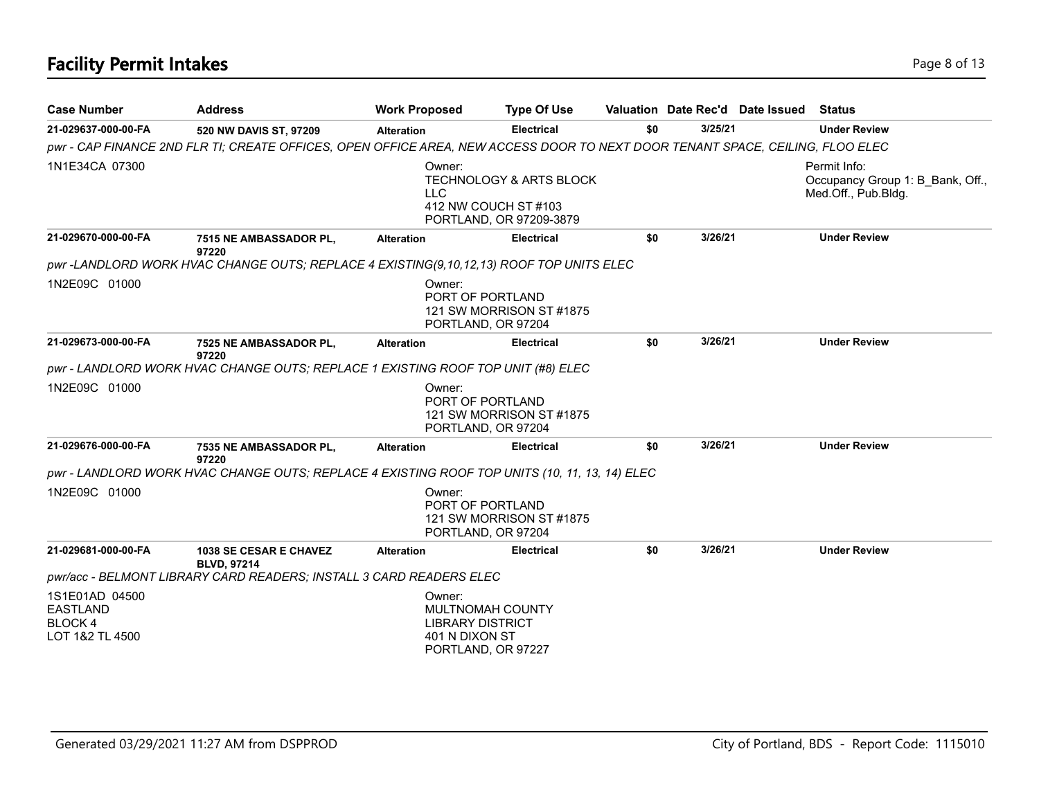| <b>Case Number</b>                                              | <b>Address</b>                                                                                                                | <b>Work Proposed</b>                                                                          | <b>Type Of Use</b>                                            |     |         | Valuation Date Rec'd Date Issued | <b>Status</b>                                                           |
|-----------------------------------------------------------------|-------------------------------------------------------------------------------------------------------------------------------|-----------------------------------------------------------------------------------------------|---------------------------------------------------------------|-----|---------|----------------------------------|-------------------------------------------------------------------------|
| 21-029637-000-00-FA                                             | 520 NW DAVIS ST, 97209                                                                                                        | <b>Alteration</b>                                                                             | <b>Electrical</b>                                             | \$0 | 3/25/21 |                                  | <b>Under Review</b>                                                     |
|                                                                 | pwr - CAP FINANCE 2ND FLR TI; CREATE OFFICES, OPEN OFFICE AREA, NEW ACCESS DOOR TO NEXT DOOR TENANT SPACE, CEILING, FLOO ELEC |                                                                                               |                                                               |     |         |                                  |                                                                         |
| 1N1E34CA 07300                                                  |                                                                                                                               | Owner:<br><b>LLC</b><br>412 NW COUCH ST #103                                                  | <b>TECHNOLOGY &amp; ARTS BLOCK</b><br>PORTLAND, OR 97209-3879 |     |         |                                  | Permit Info:<br>Occupancy Group 1: B Bank, Off.,<br>Med.Off., Pub.Bldg. |
| 21-029670-000-00-FA                                             | 7515 NE AMBASSADOR PL,<br>97220                                                                                               | <b>Alteration</b>                                                                             | <b>Electrical</b>                                             | \$0 | 3/26/21 |                                  | <b>Under Review</b>                                                     |
|                                                                 | pwr-LANDLORD WORK HVAC CHANGE OUTS; REPLACE 4 EXISTING(9,10,12,13) ROOF TOP UNITS ELEC                                        |                                                                                               |                                                               |     |         |                                  |                                                                         |
| 1N2E09C 01000                                                   |                                                                                                                               | Owner:<br>PORT OF PORTLAND<br>PORTLAND, OR 97204                                              | 121 SW MORRISON ST#1875                                       |     |         |                                  |                                                                         |
| 21-029673-000-00-FA                                             | 7525 NE AMBASSADOR PL,<br>97220                                                                                               | <b>Alteration</b>                                                                             | <b>Electrical</b>                                             | \$0 | 3/26/21 |                                  | <b>Under Review</b>                                                     |
|                                                                 | pwr - LANDLORD WORK HVAC CHANGE OUTS; REPLACE 1 EXISTING ROOF TOP UNIT (#8) ELEC                                              |                                                                                               |                                                               |     |         |                                  |                                                                         |
| 1N2E09C 01000                                                   |                                                                                                                               | Owner:<br>PORT OF PORTLAND<br>PORTLAND, OR 97204                                              | 121 SW MORRISON ST#1875                                       |     |         |                                  |                                                                         |
| 21-029676-000-00-FA                                             | 7535 NE AMBASSADOR PL,<br>97220                                                                                               | <b>Alteration</b>                                                                             | <b>Electrical</b>                                             | \$0 | 3/26/21 |                                  | <b>Under Review</b>                                                     |
|                                                                 | pwr - LANDLORD WORK HVAC CHANGE OUTS; REPLACE 4 EXISTING ROOF TOP UNITS (10, 11, 13, 14) ELEC                                 |                                                                                               |                                                               |     |         |                                  |                                                                         |
| 1N2E09C 01000                                                   |                                                                                                                               | Owner:<br>PORT OF PORTLAND<br>PORTLAND, OR 97204                                              | 121 SW MORRISON ST #1875                                      |     |         |                                  |                                                                         |
| 21-029681-000-00-FA                                             | <b>1038 SE CESAR E CHAVEZ</b><br><b>BLVD. 97214</b>                                                                           | <b>Alteration</b>                                                                             | <b>Electrical</b>                                             | \$0 | 3/26/21 |                                  | <b>Under Review</b>                                                     |
|                                                                 | pwr/acc - BELMONT LIBRARY CARD READERS; INSTALL 3 CARD READERS ELEC                                                           |                                                                                               |                                                               |     |         |                                  |                                                                         |
| 1S1E01AD 04500<br><b>EASTLAND</b><br>BLOCK 4<br>LOT 1&2 TL 4500 |                                                                                                                               | Owner:<br>MULTNOMAH COUNTY<br><b>LIBRARY DISTRICT</b><br>401 N DIXON ST<br>PORTLAND, OR 97227 |                                                               |     |         |                                  |                                                                         |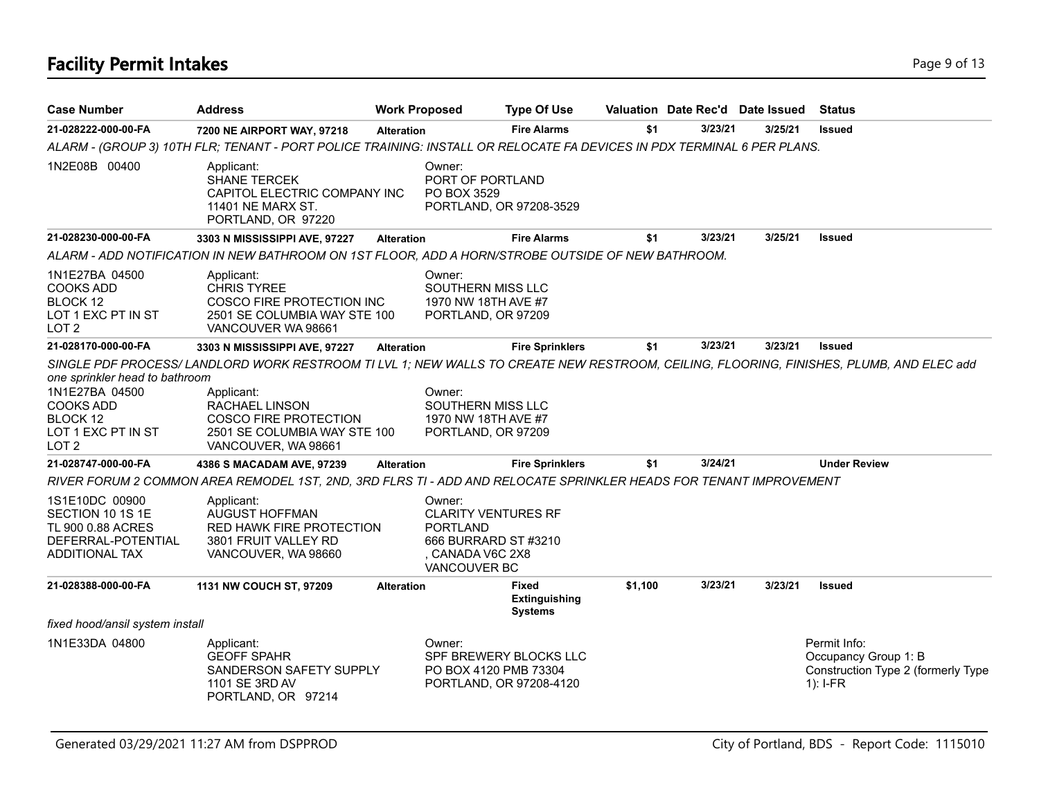# **Facility Permit Intakes** Page 9 of 13

| <b>Case Number</b>                                                                                                         | <b>Address</b>                                                                                                                                                                                                                                                | <b>Work Proposed</b> |                                                                                                                     | <b>Type Of Use</b>                                |         | Valuation Date Rec'd Date Issued |         | <b>Status</b>                                                                            |
|----------------------------------------------------------------------------------------------------------------------------|---------------------------------------------------------------------------------------------------------------------------------------------------------------------------------------------------------------------------------------------------------------|----------------------|---------------------------------------------------------------------------------------------------------------------|---------------------------------------------------|---------|----------------------------------|---------|------------------------------------------------------------------------------------------|
| 21-028222-000-00-FA                                                                                                        | 7200 NE AIRPORT WAY, 97218                                                                                                                                                                                                                                    | <b>Alteration</b>    |                                                                                                                     | <b>Fire Alarms</b>                                | \$1     | 3/23/21                          | 3/25/21 | <b>Issued</b>                                                                            |
|                                                                                                                            | ALARM - (GROUP 3) 10TH FLR; TENANT - PORT POLICE TRAINING: INSTALL OR RELOCATE FA DEVICES IN PDX TERMINAL 6 PER PLANS.                                                                                                                                        |                      |                                                                                                                     |                                                   |         |                                  |         |                                                                                          |
| 1N2E08B 00400                                                                                                              | Applicant:<br><b>SHANE TERCEK</b><br>CAPITOL ELECTRIC COMPANY INC<br>11401 NE MARX ST.<br>PORTLAND, OR 97220                                                                                                                                                  |                      | Owner:<br>PORT OF PORTLAND<br>PO BOX 3529                                                                           | PORTLAND, OR 97208-3529                           |         |                                  |         |                                                                                          |
| 21-028230-000-00-FA                                                                                                        | 3303 N MISSISSIPPI AVE, 97227                                                                                                                                                                                                                                 | <b>Alteration</b>    |                                                                                                                     | <b>Fire Alarms</b>                                | \$1     | 3/23/21                          | 3/25/21 | <b>Issued</b>                                                                            |
|                                                                                                                            | ALARM - ADD NOTIFICATION IN NEW BATHROOM ON 1ST FLOOR, ADD A HORN/STROBE OUTSIDE OF NEW BATHROOM.                                                                                                                                                             |                      |                                                                                                                     |                                                   |         |                                  |         |                                                                                          |
| 1N1E27BA 04500<br><b>COOKS ADD</b><br>BLOCK 12<br>LOT 1 EXC PT IN ST<br>LOT <sub>2</sub>                                   | Applicant:<br><b>CHRIS TYREE</b><br>COSCO FIRE PROTECTION INC<br>2501 SE COLUMBIA WAY STE 100<br>VANCOUVER WA 98661                                                                                                                                           |                      | Owner:<br>SOUTHERN MISS LLC<br>1970 NW 18TH AVE #7<br>PORTLAND, OR 97209                                            |                                                   |         |                                  |         |                                                                                          |
| 21-028170-000-00-FA                                                                                                        | 3303 N MISSISSIPPI AVE, 97227                                                                                                                                                                                                                                 | <b>Alteration</b>    |                                                                                                                     | <b>Fire Sprinklers</b>                            | \$1     | 3/23/21                          | 3/23/21 | <b>Issued</b>                                                                            |
| one sprinkler head to bathroom<br>1N1E27BA 04500<br><b>COOKS ADD</b><br>BLOCK 12<br>LOT 1 EXC PT IN ST<br>LOT <sub>2</sub> | SINGLE PDF PROCESS/LANDLORD WORK RESTROOM TI LVL 1; NEW WALLS TO CREATE NEW RESTROOM, CEILING, FLOORING, FINISHES, PLUMB, AND ELEC add<br>Applicant:<br>RACHAEL LINSON<br><b>COSCO FIRE PROTECTION</b><br>2501 SE COLUMBIA WAY STE 100<br>VANCOUVER, WA 98661 |                      | Owner:<br>SOUTHERN MISS LLC<br>1970 NW 18TH AVE #7<br>PORTLAND, OR 97209                                            |                                                   |         |                                  |         |                                                                                          |
| 21-028747-000-00-FA                                                                                                        | 4386 S MACADAM AVE, 97239                                                                                                                                                                                                                                     | <b>Alteration</b>    |                                                                                                                     | <b>Fire Sprinklers</b>                            | \$1     | 3/24/21                          |         | <b>Under Review</b>                                                                      |
|                                                                                                                            | RIVER FORUM 2 COMMON AREA REMODEL 1ST, 2ND, 3RD FLRS TI - ADD AND RELOCATE SPRINKLER HEADS FOR TENANT IMPROVEMENT                                                                                                                                             |                      |                                                                                                                     |                                                   |         |                                  |         |                                                                                          |
| 1S1E10DC 00900<br>SECTION 10 1S 1E<br>TL 900 0.88 ACRES<br>DEFERRAL-POTENTIAL<br><b>ADDITIONAL TAX</b>                     | Applicant:<br>AUGUST HOFFMAN<br><b>RED HAWK FIRE PROTECTION</b><br>3801 FRUIT VALLEY RD<br>VANCOUVER, WA 98660                                                                                                                                                |                      | Owner:<br><b>CLARITY VENTURES RF</b><br><b>PORTLAND</b><br>666 BURRARD ST #3210<br>, CANADA V6C 2X8<br>VANCOUVER BC |                                                   |         |                                  |         |                                                                                          |
| 21-028388-000-00-FA                                                                                                        | 1131 NW COUCH ST, 97209                                                                                                                                                                                                                                       | <b>Alteration</b>    |                                                                                                                     | <b>Fixed</b><br>Extinguishing<br><b>Systems</b>   | \$1,100 | 3/23/21                          | 3/23/21 | <b>Issued</b>                                                                            |
| fixed hood/ansil system install                                                                                            |                                                                                                                                                                                                                                                               |                      |                                                                                                                     |                                                   |         |                                  |         |                                                                                          |
| 1N1E33DA 04800                                                                                                             | Applicant:<br><b>GEOFF SPAHR</b><br>SANDERSON SAFETY SUPPLY<br>1101 SE 3RD AV<br>PORTLAND, OR 97214                                                                                                                                                           |                      | Owner:<br>PO BOX 4120 PMB 73304                                                                                     | SPF BREWERY BLOCKS LLC<br>PORTLAND, OR 97208-4120 |         |                                  |         | Permit Info:<br>Occupancy Group 1: B<br>Construction Type 2 (formerly Type<br>$1$ : I-FR |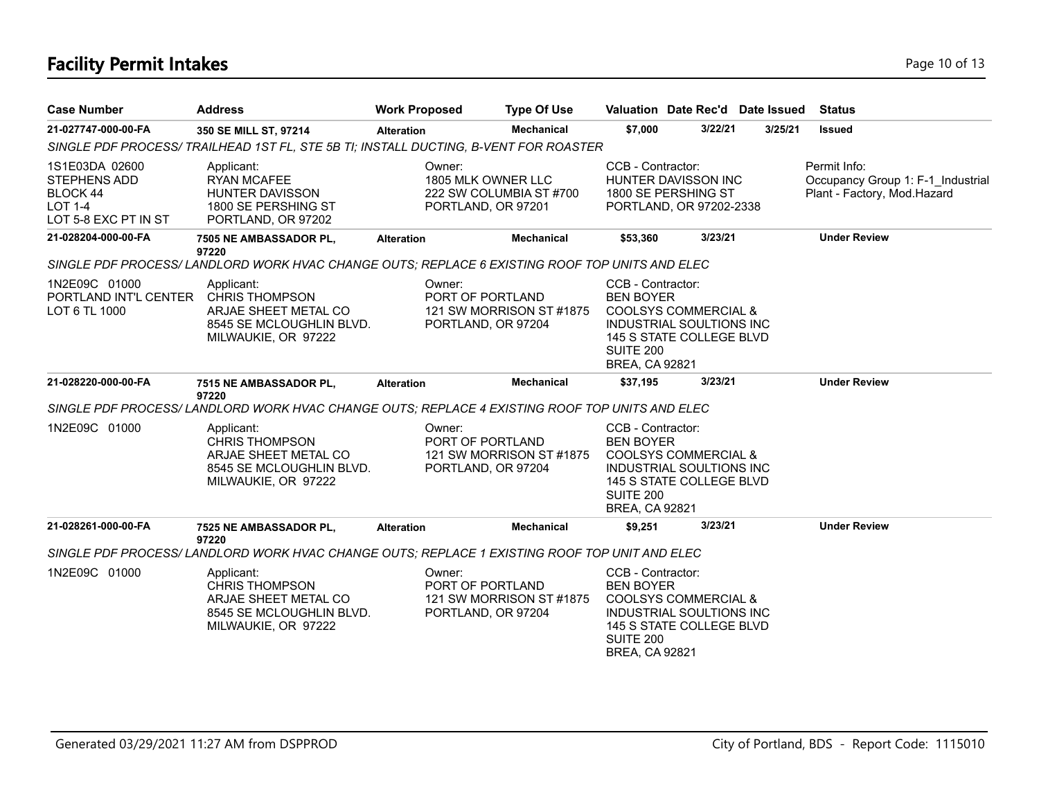# **Facility Permit Intakes** Page 10 of 13

| <b>Case Number</b>                                                                   | <b>Address</b>                                                                                                 | <b>Work Proposed</b> | <b>Type Of Use</b>                                                  |                                                                             |                                                                                                | Valuation Date Rec'd Date Issued | <b>Status</b>                                                                    |
|--------------------------------------------------------------------------------------|----------------------------------------------------------------------------------------------------------------|----------------------|---------------------------------------------------------------------|-----------------------------------------------------------------------------|------------------------------------------------------------------------------------------------|----------------------------------|----------------------------------------------------------------------------------|
| 21-027747-000-00-FA                                                                  | 350 SE MILL ST, 97214                                                                                          | <b>Alteration</b>    | <b>Mechanical</b>                                                   | \$7,000                                                                     | 3/22/21                                                                                        | 3/25/21                          | <b>Issued</b>                                                                    |
|                                                                                      | SINGLE PDF PROCESS/ TRAILHEAD 1ST FL, STE 5B TI; INSTALL DUCTING, B-VENT FOR ROASTER                           |                      |                                                                     |                                                                             |                                                                                                |                                  |                                                                                  |
| 1S1E03DA 02600<br>STEPHENS ADD<br>BLOCK 44<br><b>LOT 1-4</b><br>LOT 5-8 EXC PT IN ST | Applicant:<br><b>RYAN MCAFEE</b><br><b>HUNTER DAVISSON</b><br>1800 SE PERSHING ST<br>PORTLAND, OR 97202        | Owner:               | 1805 MLK OWNER LLC<br>222 SW COLUMBIA ST #700<br>PORTLAND, OR 97201 | CCB - Contractor:                                                           | HUNTER DAVISSON INC<br>1800 SE PERSHING ST<br>PORTLAND, OR 97202-2338                          |                                  | Permit Info:<br>Occupancy Group 1: F-1_Industrial<br>Plant - Factory, Mod.Hazard |
| 21-028204-000-00-FA                                                                  | 7505 NE AMBASSADOR PL,                                                                                         | <b>Alteration</b>    | Mechanical                                                          | \$53,360                                                                    | 3/23/21                                                                                        |                                  | <b>Under Review</b>                                                              |
|                                                                                      | 97220<br>SINGLE PDF PROCESS/LANDLORD WORK HVAC CHANGE OUTS; REPLACE 6 EXISTING ROOF TOP UNITS AND ELEC         |                      |                                                                     |                                                                             |                                                                                                |                                  |                                                                                  |
| 1N2E09C 01000<br>PORTLAND INT'L CENTER<br>LOT 6 TL 1000                              | Applicant:<br><b>CHRIS THOMPSON</b><br>ARJAE SHEET METAL CO<br>8545 SE MCLOUGHLIN BLVD.<br>MILWAUKIE, OR 97222 | Owner:               | PORT OF PORTLAND<br>121 SW MORRISON ST#1875<br>PORTLAND, OR 97204   | CCB - Contractor:<br><b>BEN BOYER</b><br>SUITE 200<br><b>BREA, CA 92821</b> | COOLSYS COMMERCIAL &<br>INDUSTRIAL SOULTIONS INC<br>145 S STATE COLLEGE BLVD                   |                                  |                                                                                  |
| 21-028220-000-00-FA                                                                  | 7515 NE AMBASSADOR PL,<br>97220                                                                                | <b>Alteration</b>    | <b>Mechanical</b>                                                   | \$37,195                                                                    | 3/23/21                                                                                        |                                  | <b>Under Review</b>                                                              |
|                                                                                      | SINGLE PDF PROCESS/LANDLORD WORK HVAC CHANGE OUTS; REPLACE 4 EXISTING ROOF TOP UNITS AND ELEC                  |                      |                                                                     |                                                                             |                                                                                                |                                  |                                                                                  |
| 1N2E09C 01000                                                                        | Applicant:<br><b>CHRIS THOMPSON</b><br>ARJAE SHEET METAL CO<br>8545 SE MCLOUGHLIN BLVD.<br>MILWAUKIE, OR 97222 | Owner:               | PORT OF PORTLAND<br>121 SW MORRISON ST #1875<br>PORTLAND, OR 97204  | CCB - Contractor:<br><b>BEN BOYER</b><br>SUITE 200<br><b>BREA, CA 92821</b> | COOLSYS COMMERCIAL &<br><b>INDUSTRIAL SOULTIONS INC</b><br>145 S STATE COLLEGE BLVD            |                                  |                                                                                  |
| 21-028261-000-00-FA                                                                  | 7525 NE AMBASSADOR PL,<br>97220                                                                                | <b>Alteration</b>    | <b>Mechanical</b>                                                   | \$9,251                                                                     | 3/23/21                                                                                        |                                  | <b>Under Review</b>                                                              |
|                                                                                      | SINGLE PDF PROCESS/LANDLORD WORK HVAC CHANGE OUTS; REPLACE 1 EXISTING ROOF TOP UNIT AND ELEC                   |                      |                                                                     |                                                                             |                                                                                                |                                  |                                                                                  |
| 1N2E09C 01000                                                                        | Applicant:<br><b>CHRIS THOMPSON</b><br>ARJAE SHEET METAL CO<br>8545 SE MCLOUGHLIN BLVD.<br>MILWAUKIE, OR 97222 | Owner:               | PORT OF PORTLAND<br>121 SW MORRISON ST #1875<br>PORTLAND, OR 97204  | CCB - Contractor:<br><b>BEN BOYER</b><br>SUITE 200<br><b>BREA, CA 92821</b> | <b>COOLSYS COMMERCIAL &amp;</b><br><b>INDUSTRIAL SOULTIONS INC</b><br>145 S STATE COLLEGE BLVD |                                  |                                                                                  |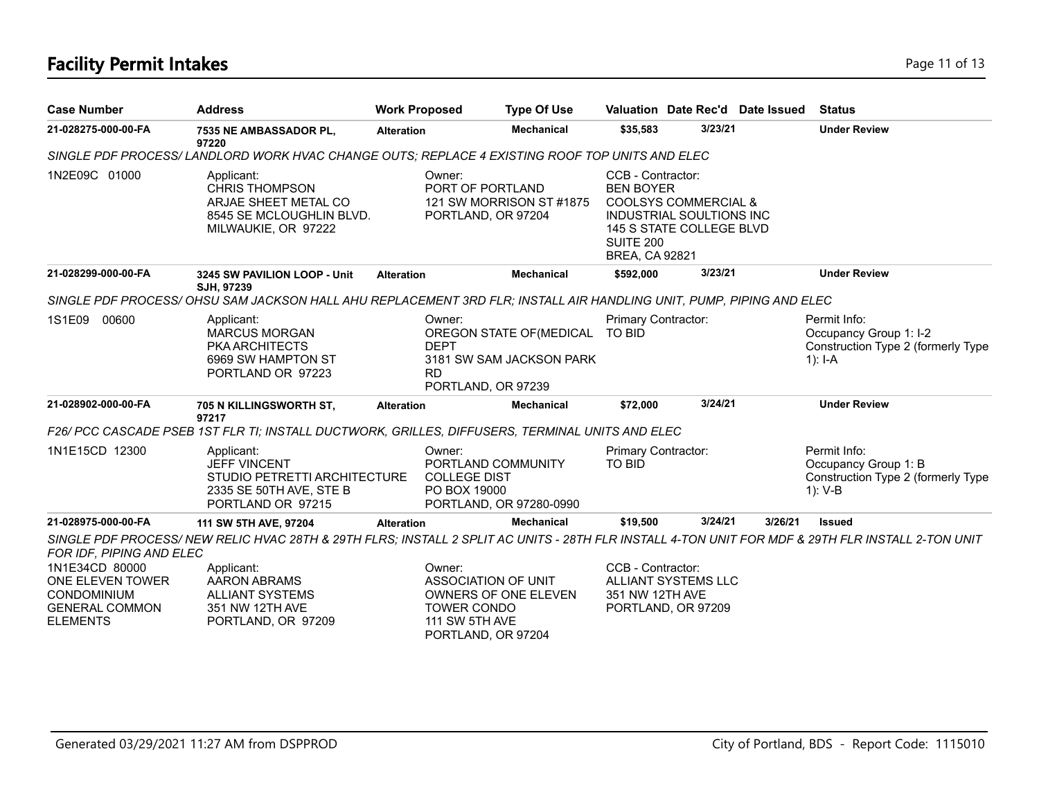# **Facility Permit Intakes** Page 11 of 13

| <b>Case Number</b>                                                                                   | <b>Address</b>                                                                                                                                   | <b>Work Proposed</b> | <b>Type Of Use</b>                                                                                                  |                                                                             |                                                                                                | Valuation Date Rec'd Date Issued | <b>Status</b>                                                                             |
|------------------------------------------------------------------------------------------------------|--------------------------------------------------------------------------------------------------------------------------------------------------|----------------------|---------------------------------------------------------------------------------------------------------------------|-----------------------------------------------------------------------------|------------------------------------------------------------------------------------------------|----------------------------------|-------------------------------------------------------------------------------------------|
| 21-028275-000-00-FA                                                                                  | 7535 NE AMBASSADOR PL,<br>97220                                                                                                                  | <b>Alteration</b>    | <b>Mechanical</b>                                                                                                   | \$35,583                                                                    | 3/23/21                                                                                        |                                  | <b>Under Review</b>                                                                       |
|                                                                                                      | SINGLE PDF PROCESS/LANDLORD WORK HVAC CHANGE OUTS; REPLACE 4 EXISTING ROOF TOP UNITS AND ELEC                                                    |                      |                                                                                                                     |                                                                             |                                                                                                |                                  |                                                                                           |
| 1N2E09C 01000                                                                                        | Applicant:<br><b>CHRIS THOMPSON</b><br>ARJAE SHEET METAL CO<br>8545 SE MCLOUGHLIN BLVD.<br>MILWAUKIE, OR 97222                                   |                      | Owner:<br>PORT OF PORTLAND<br>121 SW MORRISON ST #1875<br>PORTLAND, OR 97204                                        | CCB - Contractor:<br><b>BEN BOYER</b><br>SUITE 200<br><b>BREA, CA 92821</b> | <b>COOLSYS COMMERCIAL &amp;</b><br><b>INDUSTRIAL SOULTIONS INC</b><br>145 S STATE COLLEGE BLVD |                                  |                                                                                           |
| 21-028299-000-00-FA                                                                                  | 3245 SW PAVILION LOOP - Unit<br>SJH, 97239                                                                                                       | <b>Alteration</b>    | <b>Mechanical</b>                                                                                                   | \$592,000                                                                   | 3/23/21                                                                                        |                                  | <b>Under Review</b>                                                                       |
|                                                                                                      | SINGLE PDF PROCESS/OHSU SAM JACKSON HALL AHU REPLACEMENT 3RD FLR; INSTALL AIR HANDLING UNIT, PUMP, PIPING AND ELEC                               |                      |                                                                                                                     |                                                                             |                                                                                                |                                  |                                                                                           |
| 1S1E09<br>00600                                                                                      | Applicant:<br><b>MARCUS MORGAN</b><br><b>PKA ARCHITECTS</b><br>6969 SW HAMPTON ST<br>PORTLAND OR 97223                                           |                      | Owner:<br>OREGON STATE OF (MEDICAL<br><b>DEPT</b><br>3181 SW SAM JACKSON PARK<br><b>RD</b><br>PORTLAND, OR 97239    | Primary Contractor:<br><b>TO BID</b>                                        |                                                                                                |                                  | Permit Info:<br>Occupancy Group 1: I-2<br>Construction Type 2 (formerly Type<br>$1$ : I-A |
| 21-028902-000-00-FA                                                                                  | 705 N KILLINGSWORTH ST,<br>97217                                                                                                                 | <b>Alteration</b>    | <b>Mechanical</b>                                                                                                   | \$72,000                                                                    | 3/24/21                                                                                        |                                  | <b>Under Review</b>                                                                       |
|                                                                                                      | F26/ PCC CASCADE PSEB 1ST FLR TI; INSTALL DUCTWORK, GRILLES, DIFFUSERS, TERMINAL UNITS AND ELEC                                                  |                      |                                                                                                                     |                                                                             |                                                                                                |                                  |                                                                                           |
| 1N1E15CD 12300                                                                                       | Applicant:<br><b>JEFF VINCENT</b><br>STUDIO PETRETTI ARCHITECTURE<br>2335 SE 50TH AVE, STE B<br>PORTLAND OR 97215                                |                      | Owner:<br>PORTLAND COMMUNITY<br><b>COLLEGE DIST</b><br>PO BOX 19000<br>PORTLAND, OR 97280-0990                      | Primary Contractor:<br><b>TO BID</b>                                        |                                                                                                |                                  | Permit Info:<br>Occupancy Group 1: B<br>Construction Type 2 (formerly Type<br>$1): V-B$   |
| 21-028975-000-00-FA                                                                                  | 111 SW 5TH AVE, 97204                                                                                                                            | <b>Alteration</b>    | <b>Mechanical</b>                                                                                                   | \$19,500                                                                    | 3/24/21                                                                                        | 3/26/21                          | <b>Issued</b>                                                                             |
| FOR IDF, PIPING AND ELEC                                                                             | SINGLE PDF PROCESS/NEW RELIC HVAC 28TH & 29TH FLRS; INSTALL 2 SPLIT AC UNITS - 28TH FLR INSTALL 4-TON UNIT FOR MDF & 29TH FLR INSTALL 2-TON UNIT |                      |                                                                                                                     |                                                                             |                                                                                                |                                  |                                                                                           |
| 1N1E34CD 80000<br>ONE ELEVEN TOWER<br><b>CONDOMINIUM</b><br><b>GENERAL COMMON</b><br><b>ELEMENTS</b> | Applicant:<br>AARON ABRAMS<br><b>ALLIANT SYSTEMS</b><br>351 NW 12TH AVE<br>PORTLAND, OR 97209                                                    |                      | Owner:<br>ASSOCIATION OF UNIT<br>OWNERS OF ONE ELEVEN<br><b>TOWER CONDO</b><br>111 SW 5TH AVE<br>PORTLAND, OR 97204 | CCB - Contractor:<br>351 NW 12TH AVE                                        | ALLIANT SYSTEMS LLC<br>PORTLAND, OR 97209                                                      |                                  |                                                                                           |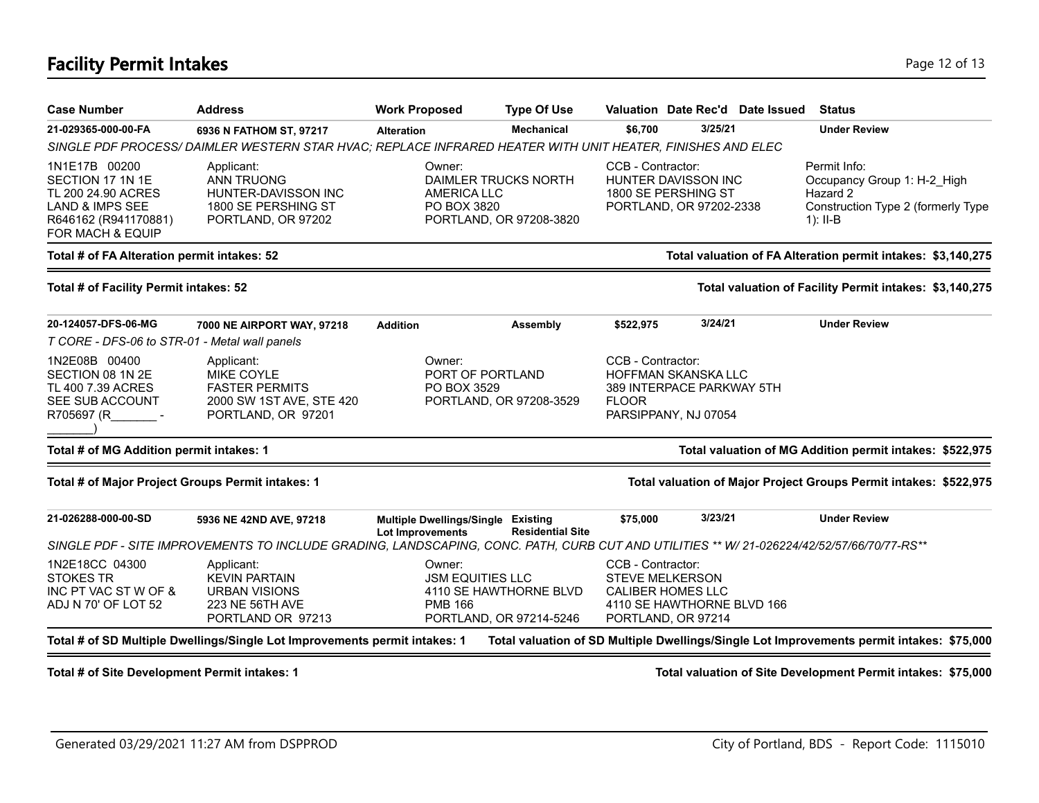# **Facility Permit Intakes** Page 12 of 13

| <b>Case Number</b>                                                                                                                | <b>Address</b>                                                                                                                            | <b>Work Proposed</b>                                          | <b>Type Of Use</b>                                |                                                                                               | Valuation Date Rec'd Date Issued | Status                                                                                                      |
|-----------------------------------------------------------------------------------------------------------------------------------|-------------------------------------------------------------------------------------------------------------------------------------------|---------------------------------------------------------------|---------------------------------------------------|-----------------------------------------------------------------------------------------------|----------------------------------|-------------------------------------------------------------------------------------------------------------|
| 21-029365-000-00-FA                                                                                                               | 6936 N FATHOM ST, 97217                                                                                                                   | <b>Alteration</b>                                             | <b>Mechanical</b>                                 | \$6,700                                                                                       | 3/25/21                          | <b>Under Review</b>                                                                                         |
|                                                                                                                                   | SINGLE PDF PROCESS/DAIMLER WESTERN STAR HVAC; REPLACE INFRARED HEATER WITH UNIT HEATER, FINISHES AND ELEC                                 |                                                               |                                                   |                                                                                               |                                  |                                                                                                             |
| 1N1E17B 00200<br>SECTION 17 1N 1E<br>TL 200 24.90 ACRES<br><b>LAND &amp; IMPS SEE</b><br>R646162 (R941170881)<br>FOR MACH & EQUIP | Applicant:<br><b>ANN TRUONG</b><br>HUNTER-DAVISSON INC<br>1800 SE PERSHING ST<br>PORTLAND, OR 97202                                       | Owner:<br><b>AMERICA LLC</b><br>PO BOX 3820                   | DAIMLER TRUCKS NORTH<br>PORTLAND, OR 97208-3820   | CCB - Contractor:<br>HUNTER DAVISSON INC<br>1800 SE PERSHING ST                               | PORTLAND, OR 97202-2338          | Permit Info:<br>Occupancy Group 1: H-2 High<br>Hazard 2<br>Construction Type 2 (formerly Type<br>$1$ : II-B |
| Total # of FA Alteration permit intakes: 52                                                                                       |                                                                                                                                           |                                                               |                                                   |                                                                                               |                                  | Total valuation of FA Alteration permit intakes: \$3,140,275                                                |
| Total # of Facility Permit intakes: 52                                                                                            |                                                                                                                                           |                                                               |                                                   |                                                                                               |                                  | Total valuation of Facility Permit intakes: \$3,140,275                                                     |
| 20-124057-DFS-06-MG                                                                                                               | 7000 NE AIRPORT WAY, 97218                                                                                                                | <b>Addition</b>                                               | <b>Assembly</b>                                   | \$522,975                                                                                     | 3/24/21                          | <b>Under Review</b>                                                                                         |
| T CORE - DFS-06 to STR-01 - Metal wall panels                                                                                     |                                                                                                                                           |                                                               |                                                   |                                                                                               |                                  |                                                                                                             |
| 1N2E08B 00400<br>SECTION 08 1N 2E<br>TL 400 7.39 ACRES<br>SEE SUB ACCOUNT<br>R705697 (R -                                         | Applicant:<br><b>MIKE COYLE</b><br><b>FASTER PERMITS</b><br>2000 SW 1ST AVE, STE 420<br>PORTLAND, OR 97201                                | Owner:<br>PO BOX 3529                                         | PORT OF PORTLAND<br>PORTLAND, OR 97208-3529       | CCB - Contractor:<br><b>HOFFMAN SKANSKA LLC</b><br><b>FLOOR</b><br>PARSIPPANY, NJ 07054       | 389 INTERPACE PARKWAY 5TH        |                                                                                                             |
| Total # of MG Addition permit intakes: 1                                                                                          |                                                                                                                                           |                                                               |                                                   |                                                                                               |                                  | Total valuation of MG Addition permit intakes: \$522,975                                                    |
| Total # of Major Project Groups Permit intakes: 1                                                                                 |                                                                                                                                           |                                                               |                                                   |                                                                                               |                                  | Total valuation of Major Project Groups Permit intakes: \$522,975                                           |
| 21-026288-000-00-SD                                                                                                               | 5936 NE 42ND AVE, 97218                                                                                                                   | Multiple Dwellings/Single Existing<br><b>Lot Improvements</b> | <b>Residential Site</b>                           | \$75,000                                                                                      | 3/23/21                          | <b>Under Review</b>                                                                                         |
|                                                                                                                                   | SINGLE PDF - SITE IMPROVEMENTS TO INCLUDE GRADING, LANDSCAPING, CONC. PATH, CURB CUT AND UTILITIES ** W/ 21-026224/42/52/57/66/70/77-RS** |                                                               |                                                   |                                                                                               |                                  |                                                                                                             |
| 1N2E18CC 04300<br><b>STOKES TR</b><br>INC PT VAC ST W OF &<br>ADJ N 70' OF LOT 52                                                 | Applicant:<br><b>KEVIN PARTAIN</b><br><b>URBAN VISIONS</b><br><b>223 NE 56TH AVE</b><br>PORTLAND OR 97213                                 | Owner:<br><b>JSM EQUITIES LLC</b><br><b>PMB 166</b>           | 4110 SE HAWTHORNE BLVD<br>PORTLAND, OR 97214-5246 | CCB - Contractor:<br><b>STEVE MELKERSON</b><br><b>CALIBER HOMES LLC</b><br>PORTLAND, OR 97214 | 4110 SE HAWTHORNE BLVD 166       |                                                                                                             |
|                                                                                                                                   | Total # of SD Multiple Dwellings/Single Lot Improvements permit intakes: 1                                                                |                                                               |                                                   |                                                                                               |                                  | Total valuation of SD Multiple Dwellings/Single Lot Improvements permit intakes: \$75,000                   |
| Total # of Site Development Permit intakes: 1                                                                                     |                                                                                                                                           |                                                               |                                                   |                                                                                               |                                  | Total valuation of Site Development Permit intakes: \$75,000                                                |